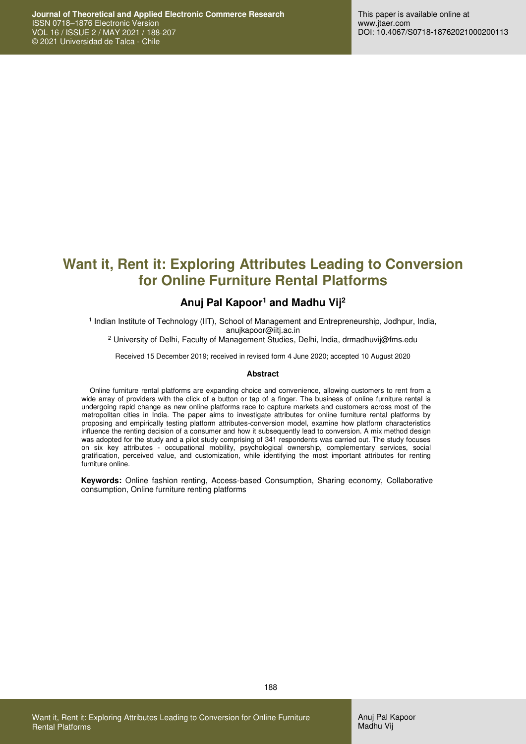# **Want it, Rent it: Exploring Attributes Leading to Conversion for Online Furniture Rental Platforms**

### **Anuj Pal Kapoor<sup>1</sup> and Madhu Vij<sup>2</sup>**

1 Indian Institute of Technology (IIT), School of Management and Entrepreneurship, Jodhpur, India, anujkapoor@iitj.ac.in

2 University of Delhi, Faculty of Management Studies, Delhi, India, drmadhuvij@fms.edu

Received 15 December 2019; received in revised form 4 June 2020; accepted 10 August 2020

#### **Abstract**

Online furniture rental platforms are expanding choice and convenience, allowing customers to rent from a wide array of providers with the click of a button or tap of a finger. The business of online furniture rental is undergoing rapid change as new online platforms race to capture markets and customers across most of the metropolitan cities in India. The paper aims to investigate attributes for online furniture rental platforms by proposing and empirically testing platform attributes-conversion model, examine how platform characteristics influence the renting decision of a consumer and how it subsequently lead to conversion. A mix method design was adopted for the study and a pilot study comprising of 341 respondents was carried out. The study focuses on six key attributes - occupational mobility, psychological ownership, complementary services, social gratification, perceived value, and customization, while identifying the most important attributes for renting furniture online.

**Keywords:** Online fashion renting, Access-based Consumption, Sharing economy, Collaborative consumption, Online furniture renting platforms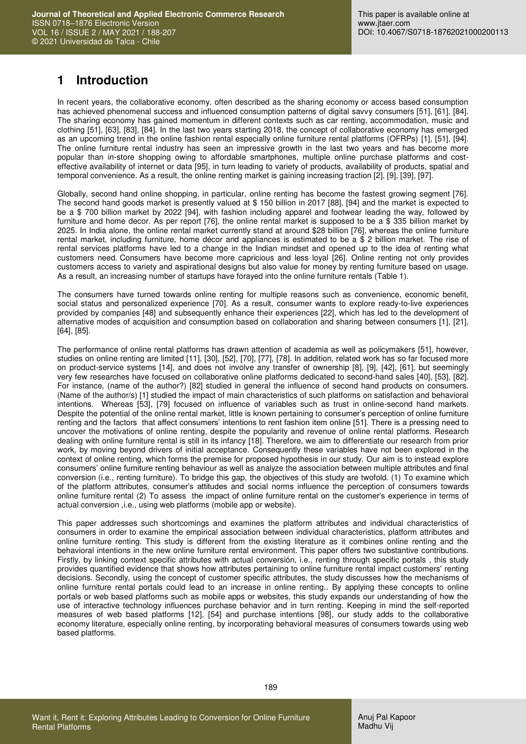## **1 Introduction**

In recent years, the collaborative economy, often described as the sharing economy or access based consumption has achieved phenomenal success and influenced consumption patterns of digital savvy consumers [51], [61], [84]. The sharing economy has gained momentum in different contexts such as car renting, accommodation, music and clothing [51], [63], [83], [84]. In the last two years starting 2018, the concept of collaborative economy has emerged as an upcoming trend in the online fashion rental especially online furniture rental platforms (OFRPs) [1], [51], [94]. The online furniture rental industry has seen an impressive growth in the last two years and has become more popular than in-store shopping owing to affordable smartphones, multiple online purchase platforms and costeffective availability of internet or data [95], in turn leading to variety of products, availability of products, spatial and temporal convenience. As a result, the online renting market is gaining increasing traction [2], [9], [39], [97].

Globally, second hand online shopping, in particular, online renting has become the fastest growing segment [76]. The second hand goods market is presently valued at \$ 150 billion in 2017 [88], [94] and the market is expected to be a \$ 700 billion market by 2022 [94], with fashion including apparel and footwear leading the way, followed by furniture and home decor. As per report [76], the online rental market is supposed to be a \$ 335 billion market by 2025. In India alone, the online rental market currently stand at around \$28 billion [76], whereas the online furniture rental market, including furniture, home décor and appliances is estimated to be a \$ 2 billion market. The rise of rental services platforms have led to a change in the Indian mindset and opened up to the idea of renting what customers need. Consumers have become more capricious and less loyal [26]. Online renting not only provides customers access to variety and aspirational designs but also value for money by renting furniture based on usage. As a result, an increasing number of startups have forayed into the online furniture rentals (Table 1).

The consumers have turned towards online renting for multiple reasons such as convenience, economic benefit, social status and personalized experience [70]. As a result, consumer wants to explore ready-to-live experiences provided by companies [48] and subsequently enhance their experiences [22], which has led to the development of alternative modes of acquisition and consumption based on collaboration and sharing between consumers [1], [21], [64], [85].

The performance of online rental platforms has drawn attention of academia as well as policymakers [51], however, studies on online renting are limited [11], [30], [52], [70], [77], [78]. In addition, related work has so far focused more on product-service systems [14], and does not involve any transfer of ownership [8], [9], [42], [61], but seemingly very few researches have focused on collaborative online platforms dedicated to second-hand sales [40], [53], [82]. For instance, (name of the author?) [82] studied in general the influence of second hand products on consumers. (Name of the author/s) [1] studied the impact of main characteristics of such platforms on satisfaction and behavioral intentions. Whereas [53], [79] focused on influence of variables such as trust in online-second hand markets. Despite the potential of the online rental market, little is known pertaining to consumer's perception of online furniture renting and the factors that affect consumers' intentions to rent fashion item online [51]. There is a pressing need to uncover the motivations of online renting, despite the popularity and revenue of online rental platforms. Research dealing with online furniture rental is still in its infancy [18]. Therefore, we aim to differentiate our research from prior work, by moving beyond drivers of initial acceptance. Consequently these variables have not been explored in the context of online renting, which forms the premise for proposed hypothesis in our study. Our aim is to instead explore consumers' online furniture renting behaviour as well as analyze the association between multiple attributes and final conversion (i.e., renting furniture). To bridge this gap, the objectives of this study are twofold. (1) To examine which of the platform attributes, consumer's attitudes and social norms influence the perception of consumers towards online furniture rental (2) To assess the impact of online furniture rental on the customer's experience in terms of actual conversion ,i.e., using web platforms (mobile app or website).

This paper addresses such shortcomings and examines the platform attributes and individual characteristics of consumers in order to examine the empirical association between individual characteristics, platform attributes and online furniture renting. This study is different from the existing literature as it combines online renting and the behavioral intentions in the new online furniture rental environment. This paper offers two substantive contributions. Firstly, by linking context specific attributes with actual conversión, i.e., renting through specific portals , this study provides quantified evidence that shows how attributes pertaining to online furniture rental impact customers' renting decisions. Secondly, using the concept of customer specific attributes, the study discusses how the mechanisms of online furniture rental portals could lead to an increase in online renting.. By applying these concepts to online portals or web based platforms such as mobile apps or websites, this study expands our understanding of how the use of interactive technology influences purchase behavior and in turn renting. Keeping in mind the self-reported measures of web based platforms [12], [54] and purchase intentions [98], our study adds to the collaborative economy literature, especially online renting, by incorporating behavioral measures of consumers towards using web based platforms.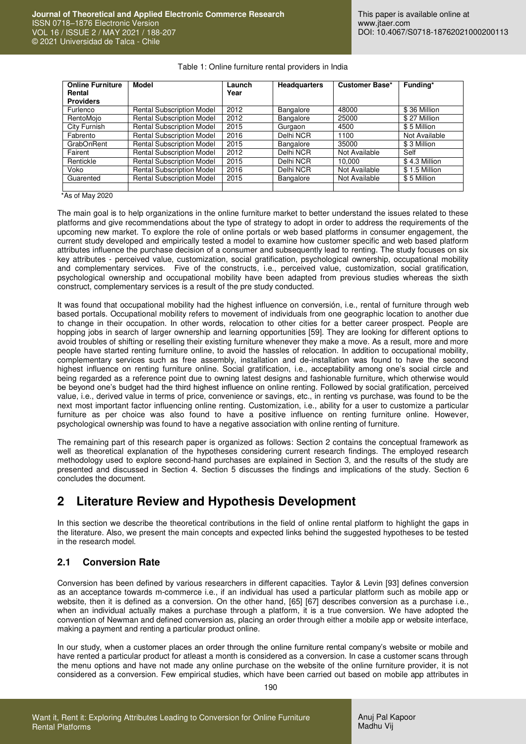| <b>Online Furniture</b> | <b>Model</b>                     | Launch | <b>Headquarters</b> | <b>Customer Base*</b> | Funding*      |
|-------------------------|----------------------------------|--------|---------------------|-----------------------|---------------|
| Rental                  |                                  | Year   |                     |                       |               |
| <b>Providers</b>        |                                  |        |                     |                       |               |
| Furlenco                | <b>Rental Subscription Model</b> | 2012   | Bangalore           | 48000                 | \$36 Million  |
| RentoMojo               | <b>Rental Subscription Model</b> | 2012   | Bangalore           | 25000                 | \$27 Million  |
| City Furnish            | <b>Rental Subscription Model</b> | 2015   | Gurgaon             | 4500                  | \$5 Million   |
| Fabrento                | <b>Rental Subscription Model</b> | 2016   | Delhi NCR           | 1100                  | Not Available |
| GrabOnRent              | <b>Rental Subscription Model</b> | 2015   | Bangalore           | 35000                 | \$3 Million   |
| Fairent                 | <b>Rental Subscription Model</b> | 2012   | Delhi NCR           | Not Available         | Self          |
| Rentickle               | <b>Rental Subscription Model</b> | 2015   | Delhi NCR           | 10.000                | \$4.3 Million |
| Voko                    | <b>Rental Subscription Model</b> | 2016   | Delhi NCR           | Not Available         | \$1.5 Million |
| Guarented               | <b>Rental Subscription Model</b> | 2015   | Bangalore           | Not Available         | \$5 Million   |
|                         |                                  |        |                     |                       |               |

#### Table 1: Online furniture rental providers in India

\*As of May 2020

The main goal is to help organizations in the online furniture market to better understand the issues related to these platforms and give recommendations about the type of strategy to adopt in order to address the requirements of the upcoming new market. To explore the role of online portals or web based platforms in consumer engagement, the current study developed and empirically tested a model to examine how customer specific and web based platform attributes influence the purchase decision of a consumer and subsequently lead to renting. The study focuses on six key attributes - perceived value, customization, social gratification, psychological ownership, occupational mobility and complementary services. Five of the constructs, i.e., perceived value, customization, social gratification, psychological ownership and occupational mobility have been adapted from previous studies whereas the sixth construct, complementary services is a result of the pre study conducted.

It was found that occupational mobility had the highest influence on conversión, i.e., rental of furniture through web based portals. Occupational mobility refers to movement of individuals from one geographic location to another due to change in their occupation. In other words, relocation to other cities for a better career prospect. People are hopping jobs in search of larger ownership and learning opportunities [59]. They are looking for different options to avoid troubles of shifting or reselling their existing furniture whenever they make a move. As a result, more and more people have started renting furniture online, to avoid the hassles of relocation. In addition to occupational mobility, complementary services such as free assembly, installation and de-installation was found to have the second highest influence on renting furniture online. Social gratification, i.e., acceptability among one's social circle and being regarded as a reference point due to owning latest designs and fashionable furniture, which otherwise would be beyond one's budget had the third highest influence on online renting. Followed by social gratification, perceived value, i.e., derived value in terms of price, convenience or savings, etc., in renting vs purchase, was found to be the next most important factor influencing online renting. Customization, i.e., ability for a user to customize a particular furniture as per choice was also found to have a positive influence on renting furniture online. However, psychological ownership was found to have a negative association with online renting of furniture.

The remaining part of this research paper is organized as follows: Section 2 contains the conceptual framework as well as theoretical explanation of the hypotheses considering current research findings. The employed research methodology used to explore second-hand purchases are explained in Section 3, and the results of the study are presented and discussed in Section 4. Section 5 discusses the findings and implications of the study. Section 6 concludes the document.

## **2 Literature Review and Hypothesis Development**

In this section we describe the theoretical contributions in the field of online rental platform to highlight the gaps in the literature. Also, we present the main concepts and expected links behind the suggested hypotheses to be tested in the research model.

#### **2.1 Conversion Rate**

Conversion has been defined by various researchers in different capacities. Taylor & Levin [93] defines conversion as an acceptance towards m-commerce i.e., if an individual has used a particular platform such as mobile app or website, then it is defined as a conversion. On the other hand, [65] [67] describes conversion as a purchase i.e., when an individual actually makes a purchase through a platform, it is a true conversion. We have adopted the convention of Newman and defined conversion as, placing an order through either a mobile app or website interface, making a payment and renting a particular product online.

In our study, when a customer places an order through the online furniture rental company's website or mobile and have rented a particular product for atleast a month is considered as a conversion. In case a customer scans through the menu options and have not made any online purchase on the website of the online furniture provider, it is not considered as a conversion. Few empirical studies, which have been carried out based on mobile app attributes in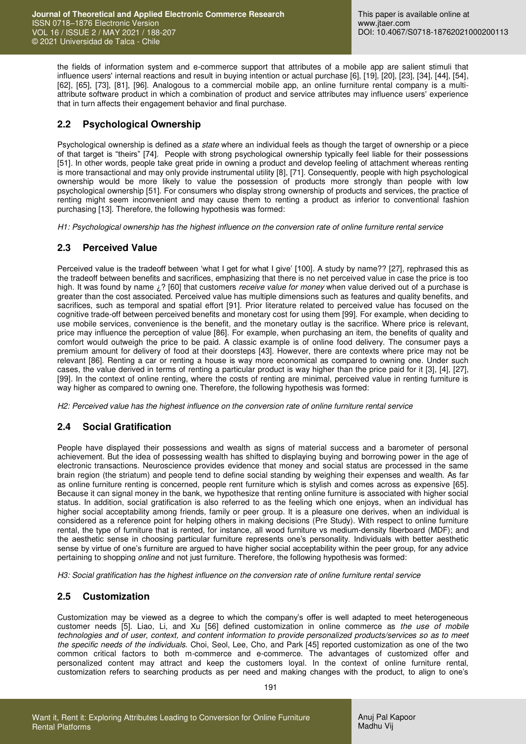the fields of information system and e-commerce support that attributes of a mobile app are salient stimuli that influence users' internal reactions and result in buying intention or actual purchase [6], [19], [20], [23], [34], [44], [54], [62], [65], [73], [81], [96]. Analogous to a commercial mobile app, an online furniture rental company is a multiattribute software product in which a combination of product and service attributes may influence users' experience that in turn affects their engagement behavior and final purchase.

### **2.2 Psychological Ownership**

Psychological ownership is defined as a *state* where an individual feels as though the target of ownership or a piece of that target is "theirs" [74]. People with strong psychological ownership typically feel liable for their possessions [51]. In other words, people take great pride in owning a product and develop feeling of attachment whereas renting is more transactional and may only provide instrumental utility [8], [71]. Consequently, people with high psychological ownership would be more likely to value the possession of products more strongly than people with low psychological ownership [51]. For consumers who display strong ownership of products and services, the practice of renting might seem inconvenient and may cause them to renting a product as inferior to conventional fashion purchasing [13]. Therefore, the following hypothesis was formed:

*H1: Psychological ownership has the highest influence on the conversion rate of online furniture rental service* 

### **2.3 Perceived Value**

Perceived value is the tradeoff between 'what I get for what I give' [100]. A study by name?? [27], rephrased this as the tradeoff between benefits and sacrifices, emphasizing that there is no net perceived value in case the price is too high. It was found by name ¿? [60] that customers *receive value for money* when value derived out of a purchase is greater than the cost associated. Perceived value has multiple dimensions such as features and quality benefits, and sacrifices, such as temporal and spatial effort [91]. Prior literature related to perceived value has focused on the cognitive trade-off between perceived benefits and monetary cost for using them [99]. For example, when deciding to use mobile services, convenience is the benefit, and the monetary outlay is the sacrifice. Where price is relevant, price may influence the perception of value [86]. For example, when purchasing an item, the benefits of quality and comfort would outweigh the price to be paid. A classic example is of online food delivery. The consumer pays a premium amount for delivery of food at their doorsteps [43]. However, there are contexts where price may not be relevant [86]. Renting a car or renting a house is way more economical as compared to owning one. Under such cases, the value derived in terms of renting a particular product is way higher than the price paid for it [3], [4], [27], [99]. In the context of online renting, where the costs of renting are minimal, perceived value in renting furniture is way higher as compared to owning one. Therefore, the following hypothesis was formed:

*H2: Perceived value has the highest influence on the conversion rate of online furniture rental service*

### **2.4 Social Gratification**

People have displayed their possessions and wealth as signs of material success and a barometer of personal achievement. But the idea of possessing wealth has shifted to displaying buying and borrowing power in the age of electronic transactions. Neuroscience provides evidence that money and social status are processed in the same brain region (the striatum) and people tend to define social standing by weighing their expenses and wealth. As far as online furniture renting is concerned, people rent furniture which is stylish and comes across as expensive [65]. Because it can signal money in the bank, we hypothesize that renting online furniture is associated with higher social status. In addition, social gratification is also referred to as the feeling which one enjoys, when an individual has higher social acceptability among friends, family or peer group. It is a pleasure one derives, when an individual is considered as a reference point for helping others in making decisions (Pre Study). With respect to online furniture rental, the type of furniture that is rented, for instance, all wood furniture vs medium-density fiberboard (MDF); and the aesthetic sense in choosing particular furniture represents one's personality. Individuals with better aesthetic sense by virtue of one's furniture are argued to have higher social acceptability within the peer group, for any advice pertaining to shopping *online* and not just furniture. Therefore, the following hypothesis was formed:

*H3: Social gratification has the highest influence on the conversion rate of online furniture rental service* 

### **2.5 Customization**

Customization may be viewed as a degree to which the company's offer is well adapted to meet heterogeneous customer needs [5]. Liao, Li, and Xu [56] defined customization in online commerce as *the use of mobile technologies and of user, context, and content information to provide personalized products/services so as to meet the specific needs of the individuals*. Choi, Seol, Lee, Cho, and Park [45] reported customization as one of the two common critical factors to both m-commerce and e-commerce. The advantages of customized offer and personalized content may attract and keep the customers loyal. In the context of online furniture rental, customization refers to searching products as per need and making changes with the product, to align to one's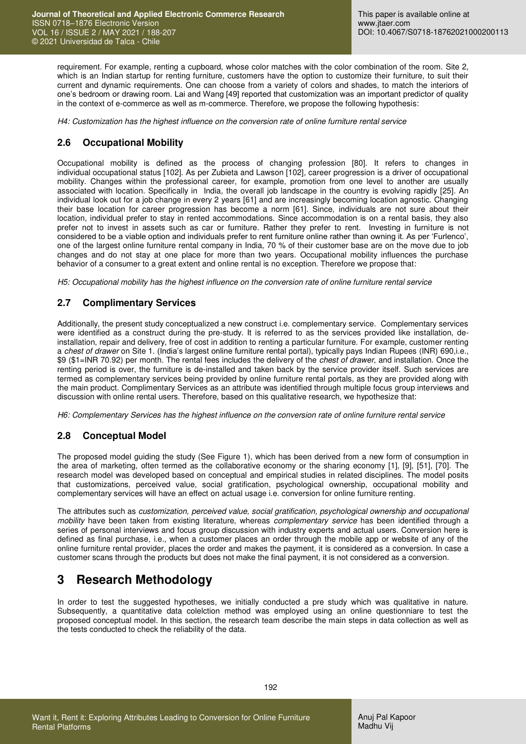requirement. For example, renting a cupboard, whose color matches with the color combination of the room. Site 2, which is an Indian startup for renting furniture, customers have the option to customize their furniture, to suit their current and dynamic requirements. One can choose from a variety of colors and shades, to match the interiors of one's bedroom or drawing room. Lai and Wang [49] reported that customization was an important predictor of quality in the context of e-commerce as well as m-commerce. Therefore, we propose the following hypothesis:

*H4: Customization has the highest influence on the conversion rate of online furniture rental service*

### **2.6 Occupational Mobility**

Occupational mobility is defined as the process of changing profession [80]. It refers to changes in individual occupational status [102]. As per Zubieta and Lawson [102], career progression is a driver of occupational mobility. Changes within the professional career, for example, promotion from one level to another are usually associated with location. Specifically in India, the overall job landscape in the country is evolving rapidly [25]. An individual look out for a job change in every 2 years [61] and are increasingly becoming location agnostic. Changing their base location for career progression has become a norm [61]. Since, individuals are not sure about their location, individual prefer to stay in rented accommodations. Since accommodation is on a rental basis, they also prefer not to invest in assets such as car or furniture. Rather they prefer to rent. Investing in furniture is not considered to be a viable option and individuals prefer to rent furniture online rather than owning it. As per 'Furlenco', one of the largest online furniture rental company in India, 70 % of their customer base are on the move due to job changes and do not stay at one place for more than two years. Occupational mobility influences the purchase behavior of a consumer to a great extent and online rental is no exception. Therefore we propose that:

*H5: Occupational mobility has the highest influence on the conversion rate of online furniture rental service*

#### **2.7 Complimentary Services**

Additionally, the present study conceptualized a new construct i.e. complementary service. Complementary services were identified as a construct during the pre-study. It is referred to as the services provided like installation, deinstallation, repair and delivery, free of cost in addition to renting a particular furniture. For example, customer renting a *chest of drawer* on Site 1. (India's largest online furniture rental portal), typically pays Indian Rupees (INR) 690,i.e., \$9 (\$1=INR 70.92) per month. The rental fees includes the delivery of the *chest of drawer*, and installation. Once the renting period is over, the furniture is de-installed and taken back by the service provider itself. Such services are termed as complementary services being provided by online furniture rental portals, as they are provided along with the main product. Complimentary Services as an attribute was identified through multiple focus group interviews and discussion with online rental users. Therefore, based on this qualitative research, we hypothesize that:

*H6: Complementary Services has the highest influence on the conversion rate of online furniture rental service* 

#### **2.8 Conceptual Model**

The proposed model guiding the study (See Figure 1), which has been derived from a new form of consumption in the area of marketing, often termed as the collaborative economy or the sharing economy [1], [9], [51], [70]. The research model was developed based on conceptual and empirical studies in related disciplines. The model posits that customizations, perceived value, social gratification, psychological ownership, occupational mobility and complementary services will have an effect on actual usage i.e. conversion for online furniture renting.

The attributes such as *customization, perceived value, social gratification, psychological ownership and occupational mobility* have been taken from existing literature, whereas *complementary service* has been identified through a series of personal interviews and focus group discussion with industry experts and actual users. Conversion here is defined as final purchase, i.e., when a customer places an order through the mobile app or website of any of the online furniture rental provider, places the order and makes the payment, it is considered as a conversion. In case a customer scans through the products but does not make the final payment, it is not considered as a conversion.

## **3 Research Methodology**

In order to test the suggested hypotheses, we initially conducted a pre study which was qualitative in nature. Subsequently, a quantitative data colelction method was employed using an online questionniare to test the proposed conceptual model. In this section, the research team describe the main steps in data collection as well as the tests conducted to check the reliability of the data.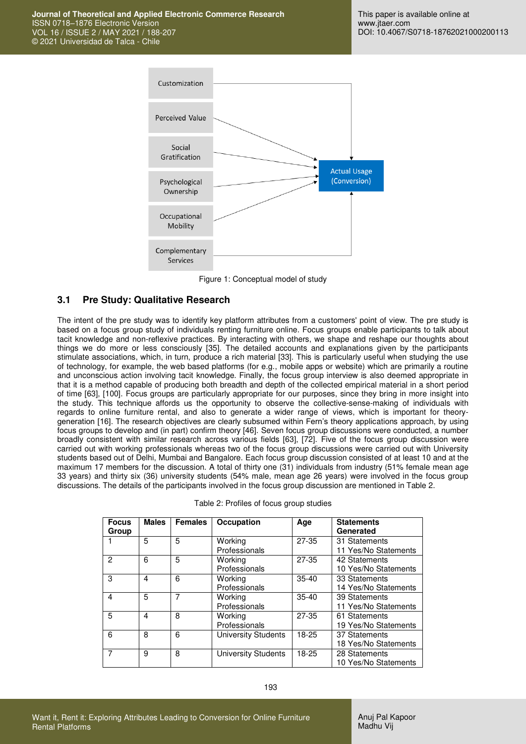

Figure 1: Conceptual model of study

#### **3.1 Pre Study: Qualitative Research**

The intent of the pre study was to identify key platform attributes from a customers' point of view. The pre study is based on a focus group study of individuals renting furniture online. Focus groups enable participants to talk about tacit knowledge and non-reflexive practices. By interacting with others, we shape and reshape our thoughts about things we do more or less consciously [35]. The detailed accounts and explanations given by the participants stimulate associations, which, in turn, produce a rich material [33]. This is particularly useful when studying the use of technology, for example, the web based platforms (for e.g., mobile apps or website) which are primarily a routine and unconscious action involving tacit knowledge. Finally, the focus group interview is also deemed appropriate in that it is a method capable of producing both breadth and depth of the collected empirical material in a short period of time [63], [100]. Focus groups are particularly appropriate for our purposes, since they bring in more insight into the study. This technique affords us the opportunity to observe the collective-sense-making of individuals with regards to online furniture rental, and also to generate a wider range of views, which is important for theorygeneration [16]. The research objectives are clearly subsumed within Fern's theory applications approach, by using focus groups to develop and (in part) confirm theory [46]. Seven focus group discussions were conducted, a number broadly consistent with similar research across various fields [63], [72]. Five of the focus group discussion were carried out with working professionals whereas two of the focus group discussions were carried out with University students based out of Delhi, Mumbai and Bangalore. Each focus group discussion consisted of at least 10 and at the maximum 17 members for the discussion. A total of thirty one (31) individuals from industry (51% female mean age 33 years) and thirty six (36) university students (54% male, mean age 26 years) were involved in the focus group discussions. The details of the participants involved in the focus group discussion are mentioned in Table 2.

| <b>Focus</b><br>Group | <b>Males</b> | <b>Females</b> | Occupation                 | Age       | <b>Statements</b><br>Generated        |
|-----------------------|--------------|----------------|----------------------------|-----------|---------------------------------------|
|                       | 5            | 5              | Working<br>Professionals   | $27-35$   | 31 Statements<br>11 Yes/No Statements |
| 2                     | 6            | 5              | Working<br>Professionals   | $27 - 35$ | 42 Statements<br>10 Yes/No Statements |
| 3                     | 4            | 6              | Working<br>Professionals   | $35-40$   | 33 Statements<br>14 Yes/No Statements |
| 4                     | 5            | 7              | Working<br>Professionals   | $35-40$   | 39 Statements<br>11 Yes/No Statements |
| 5                     | 4            | 8              | Working<br>Professionals   | $27 - 35$ | 61 Statements<br>19 Yes/No Statements |
| 6                     | 8            | 6              | University Students        | $18-25$   | 37 Statements<br>18 Yes/No Statements |
| 7                     | 9            | 8              | <b>University Students</b> | $18-25$   | 28 Statements<br>10 Yes/No Statements |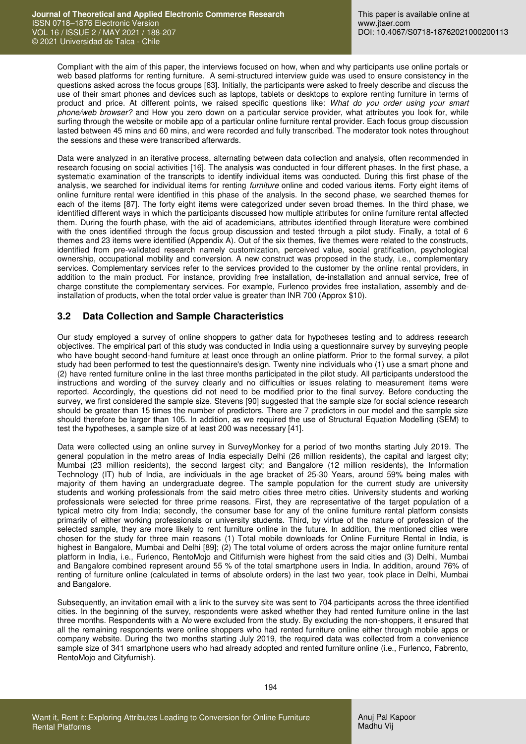Compliant with the aim of this paper, the interviews focused on how, when and why participants use online portals or web based platforms for renting furniture. A semi-structured interview guide was used to ensure consistency in the questions asked across the focus groups [63]. Initially, the participants were asked to freely describe and discuss the use of their smart phones and devices such as laptops, tablets or desktops to explore renting furniture in terms of product and price. At different points, we raised specific questions like: *What do you order using your smart phone/web browser?* and How you zero down on a particular service provider, what attributes you look for, while surfing through the website or mobile app of a particular online furniture rental provider. Each focus group discussion lasted between 45 mins and 60 mins, and were recorded and fully transcribed. The moderator took notes throughout the sessions and these were transcribed afterwards.

Data were analyzed in an iterative process, alternating between data collection and analysis, often recommended in research focusing on social activities [16]. The analysis was conducted in four different phases. In the first phase, a systematic examination of the transcripts to identify individual items was conducted. During this first phase of the analysis, we searched for individual items for renting *furniture* online and coded various items. Forty eight items of online furniture rental were identified in this phase of the analysis. In the second phase, we searched themes for each of the items [87]. The forty eight items were categorized under seven broad themes. In the third phase, we identified different ways in which the participants discussed how multiple attributes for online furniture rental affected them. During the fourth phase, with the aid of academicians, attributes identified through literature were combined with the ones identified through the focus group discussion and tested through a pilot study. Finally, a total of 6 themes and 23 items were identified (Appendix A). Out of the six themes, five themes were related to the constructs, identified from pre-validated research namely customization, perceived value, social gratification, psychological ownership, occupational mobility and conversion. A new construct was proposed in the study, i.e., complementary services. Complementary services refer to the services provided to the customer by the online rental providers, in addition to the main product. For instance, providing free installation, de-installation and annual service, free of charge constitute the complementary services. For example, Furlenco provides free installation, assembly and deinstallation of products, when the total order value is greater than INR 700 (Approx \$10).

### **3.2 Data Collection and Sample Characteristics**

Our study employed a survey of online shoppers to gather data for hypotheses testing and to address research objectives. The empirical part of this study was conducted in India using a questionnaire survey by surveying people who have bought second-hand furniture at least once through an online platform. Prior to the formal survey, a pilot study had been performed to test the questionnaire's design. Twenty nine individuals who (1) use a smart phone and (2) have rented furniture online in the last three months participated in the pilot study. All participants understood the instructions and wording of the survey clearly and no difficulties or issues relating to measurement items were reported. Accordingly, the questions did not need to be modified prior to the final survey. Before conducting the survey, we first considered the sample size. Stevens [90] suggested that the sample size for social science research should be greater than 15 times the number of predictors. There are 7 predictors in our model and the sample size should therefore be larger than 105. In addition, as we required the use of Structural Equation Modelling (SEM) to test the hypotheses, a sample size of at least 200 was necessary [41].

Data were collected using an online survey in SurveyMonkey for a period of two months starting July 2019. The general population in the metro areas of India especially Delhi (26 million residents), the capital and largest city; Mumbai (23 million residents), the second largest city; and Bangalore (12 million residents), the Information Technology (IT) hub of India, are individuals in the age bracket of 25-30 Years, around 59% being males with majority of them having an undergraduate degree. The sample population for the current study are university students and working professionals from the said metro cities three metro cities. University students and working professionals were selected for three prime reasons. First, they are representative of the target population of a typical metro city from India; secondly, the consumer base for any of the online furniture rental platform consists primarily of either working professionals or university students. Third, by virtue of the nature of profession of the selected sample, they are more likely to rent furniture online in the future. In addition, the mentioned cities were chosen for the study for three main reasons (1) Total mobile downloads for Online Furniture Rental in India, is highest in Bangalore, Mumbai and Delhi [89]; (2) The total volume of orders across the major online furniture rental platform in India, i.e., Furlenco, RentoMojo and Citifurnish were highest from the said cities and (3) Delhi, Mumbai and Bangalore combined represent around 55 % of the total smartphone users in India. In addition, around 76% of renting of furniture online (calculated in terms of absolute orders) in the last two year, took place in Delhi, Mumbai and Bangalore.

Subsequently, an invitation email with a link to the survey site was sent to 704 participants across the three identified cities. In the beginning of the survey, respondents were asked whether they had rented furniture online in the last three months. Respondents with a *No* were excluded from the study. By excluding the non-shoppers, it ensured that all the remaining respondents were online shoppers who had rented furniture online either through mobile apps or company website. During the two months starting July 2019, the required data was collected from a convenience sample size of 341 smartphone users who had already adopted and rented furniture online (i.e., Furlenco, Fabrento, RentoMojo and Cityfurnish).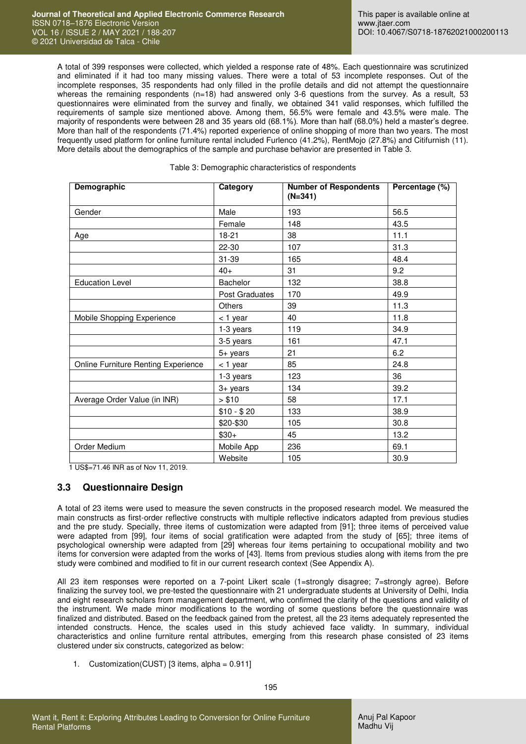A total of 399 responses were collected, which yielded a response rate of 48%. Each questionnaire was scrutinized and eliminated if it had too many missing values. There were a total of 53 incomplete responses. Out of the incomplete responses, 35 respondents had only filled in the profile details and did not attempt the questionnaire whereas the remaining respondents (n=18) had answered only 3-6 questions from the survey. As a result, 53 questionnaires were eliminated from the survey and finally, we obtained 341 valid responses, which fulfilled the requirements of sample size mentioned above. Among them, 56.5% were female and 43.5% were male. The majority of respondents were between 28 and 35 years old (68.1%). More than half (68.0%) held a master's degree. More than half of the respondents (71.4%) reported experience of online shopping of more than two years. The most frequently used platform for online furniture rental included Furlenco (41.2%), RentMojo (27.8%) and Citifurnish (11). More details about the demographics of the sample and purchase behavior are presented in Table 3.

Table 3: Demographic characteristics of respondents

| <b>Demographic</b>                  | Category              | <b>Number of Respondents</b><br>$(N=341)$ | Percentage (%) |
|-------------------------------------|-----------------------|-------------------------------------------|----------------|
| Gender                              | Male                  | 193                                       | 56.5           |
|                                     | Female                | 148                                       | 43.5           |
| Age                                 | 18-21                 | 38                                        | 11.1           |
|                                     | 22-30                 | 107                                       | 31.3           |
|                                     | 31-39                 | 165                                       | 48.4           |
|                                     | $40+$                 | 31                                        | 9.2            |
| <b>Education Level</b>              | Bachelor              | 132                                       | 38.8           |
|                                     | <b>Post Graduates</b> | 170                                       | 49.9           |
|                                     | <b>Others</b>         | 39                                        | 11.3           |
| Mobile Shopping Experience          | < 1 year              | 40                                        | 11.8           |
|                                     | 1-3 years             | 119                                       | 34.9           |
|                                     | 3-5 years             | 161                                       | 47.1           |
|                                     | $5+$ years            | 21                                        | 6.2            |
| Online Furniture Renting Experience | $<$ 1 year            | 85                                        | 24.8           |
|                                     | 1-3 years             | 123                                       | 36             |
|                                     | 3+ years              | 134                                       | 39.2           |
| Average Order Value (in INR)        | > \$10                | 58                                        | 17.1           |
|                                     | $$10 - $20$           | 133                                       | 38.9           |
|                                     | \$20-\$30             | 105                                       | 30.8           |
|                                     | $$30+$                | 45                                        | 13.2           |
| Order Medium                        | Mobile App            | 236                                       | 69.1           |
|                                     | Website               | 105                                       | 30.9           |

1 US\$=71.46 INR as of Nov 11, 2019.

#### **3.3 Questionnaire Design**

A total of 23 items were used to measure the seven constructs in the proposed research model. We measured the main constructs as first-order reflective constructs with multiple reflective indicators adapted from previous studies and the pre study. Specially, three items of customization were adapted from [91]; three items of perceived value were adapted from [99], four items of social gratification were adapted from the study of [65]; three items of psychological ownership were adapted from [29] whereas four items pertaining to occupational mobility and two ítems for conversion were adapted from the works of [43]. Items from previous studies along with items from the pre study were combined and modified to fit in our current research context (See Appendix A).

All 23 item responses were reported on a 7-point Likert scale (1=strongly disagree; 7=strongly agree). Before finalizing the survey tool, we pre-tested the questionnaire with 21 undergraduate students at University of Delhi, India and eight research scholars from management department, who confirmed the clarity of the questions and validity of the instrument. We made minor modifications to the wording of some questions before the questionnaire was finalized and distributed. Based on the feedback gained from the pretest, all the 23 items adequately represented the intended constructs. Hence, the scales used in this study achieved face validty. In summary, individual characteristics and online furniture rental attributes, emerging from this research phase consisted of 23 items clustered under six constructs, categorized as below:

1. Customization(CUST) [3 items, alpha = 0.911]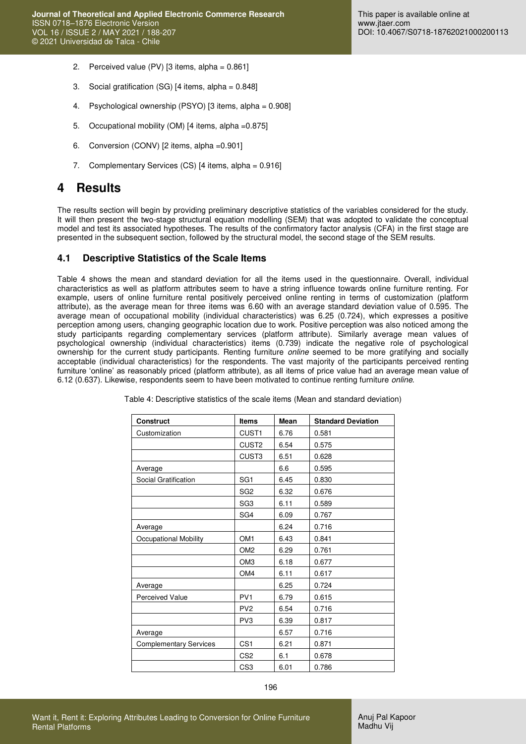- 2. Perceived value (PV)  $[3]$  items, alpha =  $0.861$ ]
- 3. Social gratification (SG) [4 items, alpha = 0.848]
- 4. Psychological ownership (PSYO) [3 items, alpha = 0.908]
- 5. Occupational mobility (OM) [4 items, alpha =0.875]
- 6. Conversion (CONV) [2 items, alpha =0.901]
- 7. Complementary Services (CS) [4 items, alpha = 0.916]

### **4 Results**

The results section will begin by providing preliminary descriptive statistics of the variables considered for the study. It will then present the two-stage structural equation modelling (SEM) that was adopted to validate the conceptual model and test its associated hypotheses. The results of the confirmatory factor analysis (CFA) in the first stage are presented in the subsequent section, followed by the structural model, the second stage of the SEM results.

#### **4.1 Descriptive Statistics of the Scale Items**

Table 4 shows the mean and standard deviation for all the items used in the questionnaire. Overall, individual characteristics as well as platform attributes seem to have a string influence towards online furniture renting. For example, users of online furniture rental positively perceived online renting in terms of customization (platform attribute), as the average mean for three items was 6.60 with an average standard deviation value of 0.595. The average mean of occupational mobility (individual characteristics) was 6.25 (0.724), which expresses a positive perception among users, changing geographic location due to work. Positive perception was also noticed among the study participants regarding complementary services (platform attribute). Similarly average mean values of psychological ownership (individual characteristics) items (0.739) indicate the negative role of psychological ownership for the current study participants. Renting furniture *online* seemed to be more gratifying and socially acceptable (individual characteristics) for the respondents. The vast majority of the participants perceived renting furniture 'online' as reasonably priced (platform attribute), as all items of price value had an average mean value of 6.12 (0.637). Likewise, respondents seem to have been motivated to continue renting furniture *online*.

| <b>Construct</b>              | <b>Items</b>      | <b>Mean</b> | <b>Standard Deviation</b> |
|-------------------------------|-------------------|-------------|---------------------------|
| Customization                 | CUST1             | 6.76        | 0.581                     |
|                               | CUST <sub>2</sub> | 6.54        | 0.575                     |
|                               | CUST3             | 6.51        | 0.628                     |
| Average                       |                   | 6.6         | 0.595                     |
| Social Gratification          | SG <sub>1</sub>   | 6.45        | 0.830                     |
|                               | SG <sub>2</sub>   | 6.32        | 0.676                     |
|                               | SG <sub>3</sub>   | 6.11        | 0.589                     |
|                               | SG4               | 6.09        | 0.767                     |
| Average                       |                   | 6.24        | 0.716                     |
| Occupational Mobility         | OM <sub>1</sub>   | 6.43        | 0.841                     |
|                               | OM <sub>2</sub>   | 6.29        | 0.761                     |
|                               | OM <sub>3</sub>   | 6.18        | 0.677                     |
|                               | OM4               | 6.11        | 0.617                     |
| Average                       |                   | 6.25        | 0.724                     |
| <b>Perceived Value</b>        | PV <sub>1</sub>   | 6.79        | 0.615                     |
|                               | PV <sub>2</sub>   | 6.54        | 0.716                     |
|                               | PV <sub>3</sub>   | 6.39        | 0.817                     |
| Average                       |                   | 6.57        | 0.716                     |
| <b>Complementary Services</b> | CS <sub>1</sub>   | 6.21        | 0.871                     |
|                               | CS <sub>2</sub>   | 6.1         | 0.678                     |
|                               | CS <sub>3</sub>   | 6.01        | 0.786                     |

Table 4: Descriptive statistics of the scale items (Mean and standard deviation)

Anuj Pal Kapoor Madhu Vij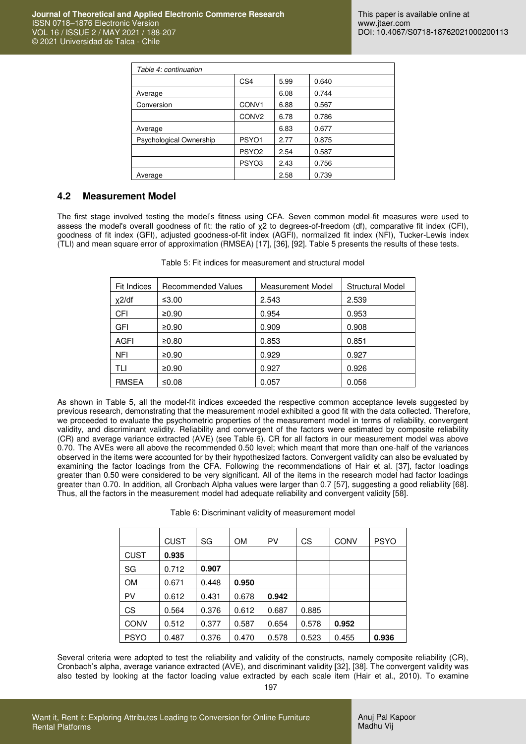| Table 4: continuation   |                   |      |       |  |  |  |
|-------------------------|-------------------|------|-------|--|--|--|
|                         | CS <sub>4</sub>   | 5.99 | 0.640 |  |  |  |
| Average                 |                   | 6.08 | 0.744 |  |  |  |
| Conversion              | CONV <sub>1</sub> | 6.88 | 0.567 |  |  |  |
|                         | CONV <sub>2</sub> | 6.78 | 0.786 |  |  |  |
| Average                 |                   | 6.83 | 0.677 |  |  |  |
| Psychological Ownership | PSYO1             | 2.77 | 0.875 |  |  |  |
|                         | PSYO <sub>2</sub> | 2.54 | 0.587 |  |  |  |
|                         | PSYO <sub>3</sub> | 2.43 | 0.756 |  |  |  |
| Average                 |                   | 2.58 | 0.739 |  |  |  |

#### **4.2 Measurement Model**

The first stage involved testing the model's fitness using CFA. Seven common model-fit measures were used to assess the model's overall goodness of fit: the ratio of χ2 to degrees-of-freedom (df), comparative fit index (CFI), goodness of fit index (GFI), adjusted goodness-of-fit index (AGFI), normalized fit index (NFI), Tucker-Lewis index (TLI) and mean square error of approximation (RMSEA) [17], [36], [92]. Table 5 presents the results of these tests.

| <b>Fit Indices</b> | <b>Recommended Values</b> | Measurement Model | <b>Structural Model</b> |
|--------------------|---------------------------|-------------------|-------------------------|
| $x^2$ /df          | ≤3.00                     | 2.543             | 2.539                   |
| <b>CFI</b>         | ≥0.90                     | 0.954             | 0.953                   |
| <b>GFI</b>         | ≥0.90                     | 0.909             | 0.908                   |
| <b>AGFI</b>        | ≥0.80                     | 0.853             | 0.851                   |
| <b>NFI</b>         | ≥0.90                     | 0.929             | 0.927                   |
| TLI                | ≥0.90                     | 0.927             | 0.926                   |
| <b>RMSEA</b>       | ≤0.08                     | 0.057             | 0.056                   |

Table 5: Fit indices for measurement and structural model

As shown in Table 5, all the model-fit indices exceeded the respective common acceptance levels suggested by previous research, demonstrating that the measurement model exhibited a good fit with the data collected. Therefore, we proceeded to evaluate the psychometric properties of the measurement model in terms of reliability, convergent validity, and discriminant validity. Reliability and convergent of the factors were estimated by composite reliability (CR) and average variance extracted (AVE) (see Table 6). CR for all factors in our measurement model was above 0.70. The AVEs were all above the recommended 0.50 level; which meant that more than one-half of the variances observed in the items were accounted for by their hypothesized factors. Convergent validity can also be evaluated by examining the factor loadings from the CFA. Following the recommendations of Hair et al. [37], factor loadings greater than 0.50 were considered to be very significant. All of the items in the research model had factor loadings greater than 0.70. In addition, all Cronbach Alpha values were larger than 0.7 [57], suggesting a good reliability [68]. Thus, all the factors in the measurement model had adequate reliability and convergent validity [58].

|  | Table 6: Discriminant validity of measurement model |
|--|-----------------------------------------------------|
|--|-----------------------------------------------------|

|             | <b>CUST</b> | SG    | <b>OM</b> | PV    | CS    | <b>CONV</b> | <b>PSYO</b> |
|-------------|-------------|-------|-----------|-------|-------|-------------|-------------|
| <b>CUST</b> | 0.935       |       |           |       |       |             |             |
| SG          | 0.712       | 0.907 |           |       |       |             |             |
| <b>OM</b>   | 0.671       | 0.448 | 0.950     |       |       |             |             |
| PV          | 0.612       | 0.431 | 0.678     | 0.942 |       |             |             |
| CS          | 0.564       | 0.376 | 0.612     | 0.687 | 0.885 |             |             |
| <b>CONV</b> | 0.512       | 0.377 | 0.587     | 0.654 | 0.578 | 0.952       |             |
| <b>PSYO</b> | 0.487       | 0.376 | 0.470     | 0.578 | 0.523 | 0.455       | 0.936       |

Several criteria were adopted to test the reliability and validity of the constructs, namely composite reliability (CR), Cronbach's alpha, average variance extracted (AVE), and discriminant validity [32], [38]. The convergent validity was also tested by looking at the factor loading value extracted by each scale item (Hair et al., 2010). To examine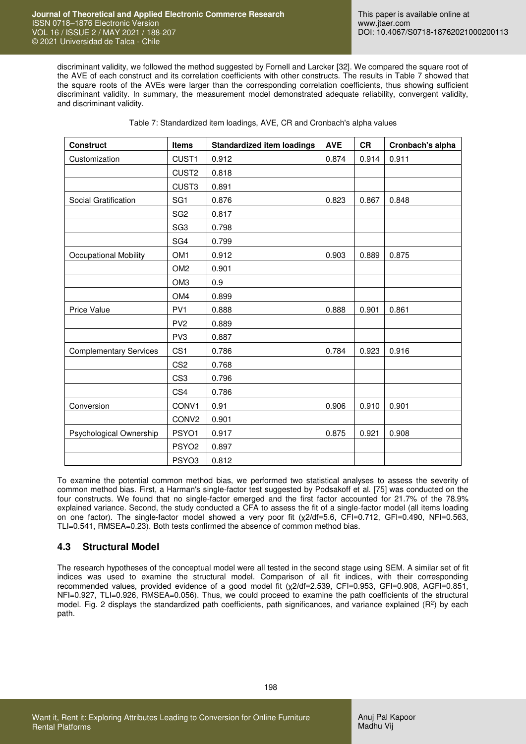discriminant validity, we followed the method suggested by Fornell and Larcker [32]. We compared the square root of the AVE of each construct and its correlation coefficients with other constructs. The results in Table 7 showed that the square roots of the AVEs were larger than the corresponding correlation coefficients, thus showing sufficient discriminant validity. In summary, the measurement model demonstrated adequate reliability, convergent validity, and discriminant validity.

| <b>Construct</b>              | <b>Items</b>      | <b>Standardized item loadings</b> | <b>AVE</b> | <b>CR</b> | Cronbach's alpha |
|-------------------------------|-------------------|-----------------------------------|------------|-----------|------------------|
| Customization                 | CUST1             | 0.912                             | 0.874      | 0.914     | 0.911            |
|                               | CUST <sub>2</sub> | 0.818                             |            |           |                  |
|                               | CUST <sub>3</sub> | 0.891                             |            |           |                  |
| Social Gratification          | SG <sub>1</sub>   | 0.876                             | 0.823      | 0.867     | 0.848            |
|                               | SG <sub>2</sub>   | 0.817                             |            |           |                  |
|                               | SG <sub>3</sub>   | 0.798                             |            |           |                  |
|                               | SG4               | 0.799                             |            |           |                  |
| <b>Occupational Mobility</b>  | OM <sub>1</sub>   | 0.912                             | 0.903      | 0.889     | 0.875            |
|                               | OM <sub>2</sub>   | 0.901                             |            |           |                  |
|                               | OM <sub>3</sub>   | 0.9                               |            |           |                  |
|                               | OM4               | 0.899                             |            |           |                  |
| <b>Price Value</b>            | PV <sub>1</sub>   | 0.888                             | 0.888      | 0.901     | 0.861            |
|                               | PV <sub>2</sub>   | 0.889                             |            |           |                  |
|                               | PV3               | 0.887                             |            |           |                  |
| <b>Complementary Services</b> | CS <sub>1</sub>   | 0.786                             | 0.784      | 0.923     | 0.916            |
|                               | CS <sub>2</sub>   | 0.768                             |            |           |                  |
|                               | CS <sub>3</sub>   | 0.796                             |            |           |                  |
|                               | CS4               | 0.786                             |            |           |                  |
| Conversion                    | CONV1             | 0.91                              | 0.906      | 0.910     | 0.901            |
|                               | CONV <sub>2</sub> | 0.901                             |            |           |                  |
| Psychological Ownership       | PSYO1             | 0.917                             | 0.875      | 0.921     | 0.908            |
|                               | PSYO <sub>2</sub> | 0.897                             |            |           |                  |
|                               | PSYO <sub>3</sub> | 0.812                             |            |           |                  |

Table 7: Standardized item loadings, AVE, CR and Cronbach's alpha values

To examine the potential common method bias, we performed two statistical analyses to assess the severity of common method bias. First, a Harman's single-factor test suggested by Podsakoff et al. [75] was conducted on the four constructs. We found that no single-factor emerged and the first factor accounted for 21.7% of the 78.9% explained variance. Second, the study conducted a CFA to assess the fit of a single-factor model (all items loading on one factor). The single-factor model showed a very poor fit (χ2/df=5.6, CFI=0.712, GFI=0.490, NFI=0.563, TLI=0.541, RMSEA=0.23). Both tests confirmed the absence of common method bias.

#### **4.3 Structural Model**

The research hypotheses of the conceptual model were all tested in the second stage using SEM. A similar set of fit indices was used to examine the structural model. Comparison of all fit indices, with their corresponding recommended values, provided evidence of a good model fit (χ2/df=2.539, CFI=0.953, GFI=0.908, AGFI=0.851, NFI=0.927, TLI=0.926, RMSEA=0.056). Thus, we could proceed to examine the path coefficients of the structural model. Fig. 2 displays the standardized path coefficients, path significances, and variance explained  $(R^2)$  by each path.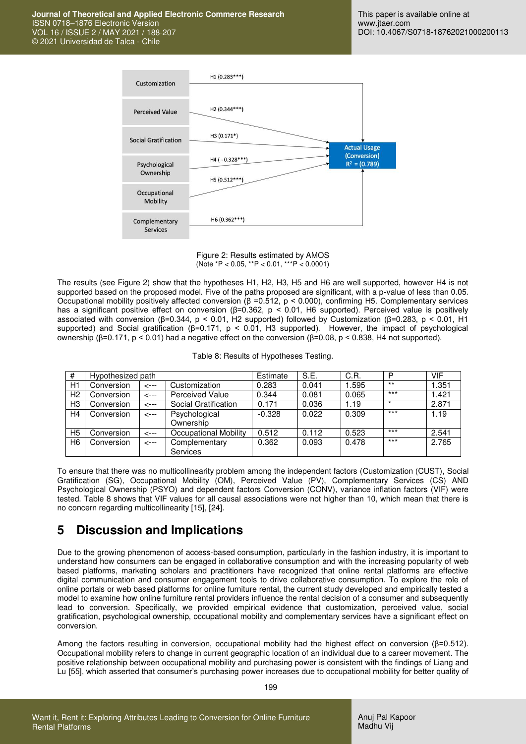

Figure 2: Results estimated by AMOS (Note \*P < 0.05, \*\*P < 0.01, \*\*\*P < 0.0001)

The results (see Figure 2) show that the hypotheses H1, H2, H3, H5 and H6 are well supported, however H4 is not supported based on the proposed model. Five of the paths proposed are significant, with a p-value of less than 0.05. Occupational mobility positively affected conversion (β =0.512, p < 0.000), confirming H5. Complementary services has a significant positive effect on conversion (β=0.362, p < 0.01, H6 supported). Perceived value is positively associated with conversion (β=0.344, p < 0.01, H2 supported) followed by Customization (β=0.283, p < 0.01, H1 supported) and Social gratification (β=0.171, p < 0.01, H3 supported). However, the impact of psychological ownership (β=0.171, p < 0.01) had a negative effect on the conversion (β=0.08, p < 0.838, H4 not supported).

Table 8: Results of Hypotheses Testing.

| #              | Hypothesized path |      |                                  | Estimate | S.E.  | C.R.  | P     | <b>VIF</b> |
|----------------|-------------------|------|----------------------------------|----------|-------|-------|-------|------------|
| H1             | Conversion        | <--- | Customization                    | 0.283    | 0.041 | 1.595 | $***$ | .351       |
| H <sub>2</sub> | Conversion        | <--- | Perceived Value                  | 0.344    | 0.081 | 0.065 | $***$ | .421       |
| H3             | Conversion        | <--- | Social Gratification             | 0.171    | 0.036 | 1.19  |       | 2.871      |
| H4             | Conversion        | <--- | Psychological<br>Ownership       | $-0.328$ | 0.022 | 0.309 | $***$ | 1.19       |
| H <sub>5</sub> | Conversion        | <--- | Occupational Mobility            | 0.512    | 0.112 | 0.523 | $***$ | 2.541      |
| H6             | Conversion        | <--- | Complementary<br><b>Services</b> | 0.362    | 0.093 | 0.478 | $***$ | 2.765      |

To ensure that there was no multicollinearity problem among the independent factors (Customization (CUST), Social Gratification (SG), Occupational Mobility (OM), Perceived Value (PV), Complementary Services (CS) AND Psychological Ownership (PSYO) and dependent factors Conversion (CONV), variance inflation factors (VIF) were tested. Table 8 shows that VIF values for all causal associations were not higher than 10, which mean that there is no concern regarding multicollinearity [15], [24].

## **5 Discussion and Implications**

Due to the growing phenomenon of access-based consumption, particularly in the fashion industry, it is important to understand how consumers can be engaged in collaborative consumption and with the increasing popularity of web based platforms, marketing scholars and practitioners have recognized that online rental platforms are effective digital communication and consumer engagement tools to drive collaborative consumption. To explore the role of online portals or web based platforms for online furniture rental, the current study developed and empirically tested a model to examine how online furniture rental providers influence the rental decision of a consumer and subsequently lead to conversion. Specifically, we provided empirical evidence that customization, perceived value, social gratification, psychological ownership, occupational mobility and complementary services have a significant effect on conversion.

Among the factors resulting in conversion, occupational mobility had the highest effect on conversion (β=0.512). Occupational mobility refers to change in current geographic location of an individual due to a career movement. The positive relationship between occupational mobility and purchasing power is consistent with the findings of Liang and Lu [55], which asserted that consumer's purchasing power increases due to occupational mobility for better quality of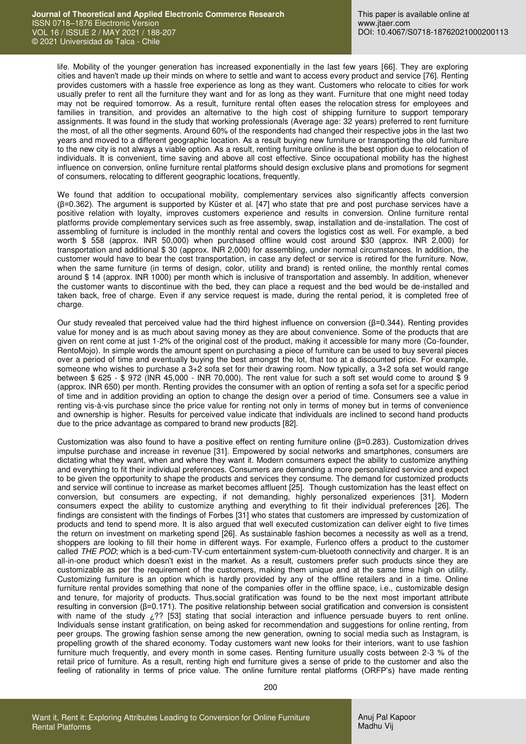life. Mobility of the younger generation has increased exponentially in the last few years [66]. They are exploring cities and haven't made up their minds on where to settle and want to access every product and service [76]. Renting provides customers with a hassle free experience as long as they want. Customers who relocate to cities for work usually prefer to rent all the furniture they want and for as long as they want. Furniture that one might need today may not be required tomorrow. As a result, furniture rental often eases the [relocation](https://msigts.com/mobility/testimonials/employee-relocation/) stress for employees and families in transition, and provides an alternative to the high cost of shipping furniture to support temporary assignments. It was found in the study that working professionals (Average age: 32 years) preferred to rent furniture the most, of all the other segments. Around 60% of the respondents had changed their respective jobs in the last two years and moved to a different geographic location. As a result buying new furniture or transporting the old furniture to the new city is not always a viable option. As a result, renting furniture online is the best option due to relocation of individuals. It is convenient, time saving and above all cost effective. Since occupational mobility has the highest influence on conversion, online furniture rental platforms should design exclusive plans and promotions for segment of consumers, relocating to different geographic locations, frequently.

We found that addition to occupational mobility, complementary services also significantly affects conversion (β=0.362). The argument is supported by [Küster](https://www.sciencedirect.com/science/article/pii/S2444845116300106#!) et al. [47] who state that pre and post purchase services have a positive relation with loyalty, improves customers experience and results in conversion. Online furniture rental platforms provide complementary services such as free assembly, swap, installation and de-installation. The cost of assembling of furniture is included in the monthly rental and covers the logistics cost as well. For example, a bed worth \$ 558 (approx. INR 50,000) when purchased offline would cost around \$30 (approx. INR 2,000) for transportation and additional \$ 30 (approx. INR 2,000) for assembling, under normal circumstances. In addition, the customer would have to bear the cost transportation, in case any defect or service is retired for the furniture. Now, when the same furniture (in terms of design, color, utility and brand) is rented online, the monthly rental comes around \$ 14 (approx. INR 1000) per month which is inclusive of transportation and assembly. In addition, whenever the customer wants to discontinue with the bed, they can place a request and the bed would be de-installed and taken back, free of charge. Even if any service request is made, during the rental period, it is completed free of charge.

Our study revealed that perceived value had the third highest influence on conversion (β=0.344). Renting provides value for money and is as much about saving money as they are about convenience. Some of the products that are given on rent come at just 1-2% of the original cost of the product, making it accessible for many more (Co-founder, RentoMojo). In simple words the amount spent on purchasing a piece of furniture can be used to buy several pieces over a period of time and eventually buying the best amongst the lot, that too at a discounted price. For example, someone who wishes to purchase a 3+2 sofa set for their drawing room. Now typically, a 3+2 sofa set would range between \$ 625 - \$ 972 (INR 45,000 - INR 70,000). The rent value for such a soft set would come to around \$ 9 (approx. INR 650) per month. Renting provides the consumer with an option of renting a sofa set for a specific period of time and in addition providing an option to change the design over a period of time. Consumers see a value in renting vis-à-vis purchase since the price value for renting not only in terms of money but in terms of convenience and ownership is higher. Results for perceived value indicate that individuals are inclined to second hand products due to the price advantage as compared to brand new products [82].

Customization was also found to have a positive effect on renting furniture online (β=0.283). Customization drives impulse purchase and increase in revenue [31]. Empowered by social networks and smartphones, consumers are dictating what they want, when and where they want it. Modern consumers expect the ability to customize anything and everything to fit their individual preferences. Consumers are demanding a more personalized service and expect to be given the opportunity to shape the products and services they consume. The demand for customized products and service will continue to increase as market becomes affluent [25]. Though customization has the least effect on conversion, but consumers are expecting, if not demanding, highly personalized experiences [31]. Modern consumers expect the ability to customize anything and everything to fit their individual preferences [26]. The findings are consistent with the findings of Forbes [31] who states that customers are impressed by customization of products and tend to spend more. It is also argued that well executed customization can deliver eight to five times the return on investment on marketing spend [26]. As sustainable fashion becomes a necessity as well as a trend, shoppers are looking to fill their home in different ways. For example, Furlenco offers a product to the customer called *THE POD*; which is a bed-cum-TV-cum entertainment system-cum-bluetooth connectivity and charger. It is an all-in-one product which doesn't exist in the market. As a result, customers prefer such products since they are customizable as per the requirement of the customers, making them unique and at the same time high on utility. Customizing furniture is an option which is hardly provided by any of the offline retailers and in a time. Online furniture rental provides something that none of the companies offer in the offline space, i.e., customizable design and tenure, for majority of products. Thus,social gratification was found to be the next most important attribute resulting in conversion (β=0.171). The positive relationship between social gratification and conversion is consistent with name of the study  $\zeta$ ?? [53] stating that social interaction and influence persuade buyers to rent online. Individuals sense instant gratification, on being asked for recommendation and suggestions for online renting, from peer groups. The growing fashion sense among the new generation, owning to social media such as Instagram, is propelling growth of the shared economy. Today customers want new looks for their interiors, want to use fashion furniture much frequently, and every month in some cases. Renting furniture usually costs between 2-3 % of the retail price of furniture. As a result, renting high end furniture gives a sense of pride to the customer and also the feeling of rationality in terms of price value. The online furniture rental platforms (ORFP's) have made renting

200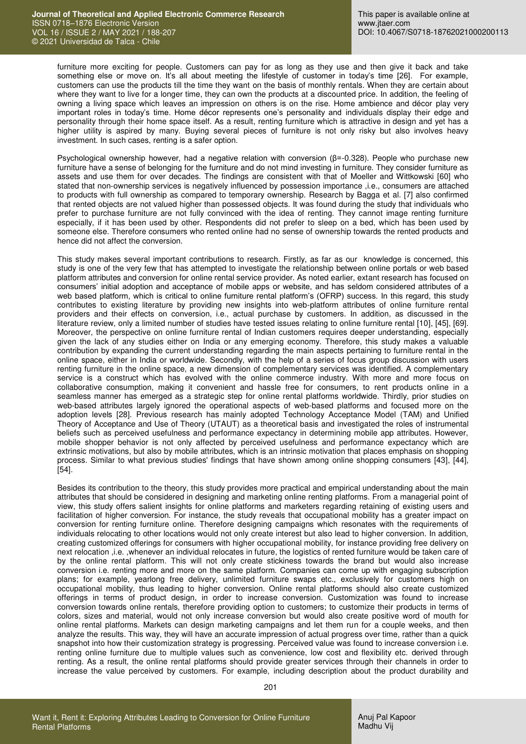furniture more exciting for people. Customers can pay for as long as they use and then give it back and take something else or move on. It's all about meeting the lifestyle of customer in today's time [26]. For example, customers can use the products till the time they want on the basis of monthly rentals. When they are certain about where they want to live for a longer time, they can own the products at a discounted price. In addition, the feeling of owning a living space which leaves an impression on others is on the rise. Home ambience and décor play very important roles in today's time. Home décor represents one's personality and individuals display their edge and personality through their home space itself. As a result, renting furniture which is attractive in design and yet has a higher utility is aspired by many. Buying several pieces of furniture is not only risky but also involves heavy investment. In such cases, renting is a safer option.

Psychological ownership however, had a negative relation with conversion (β=-0.328). People who purchase new furniture have a sense of belonging for the furniture and do not mind investing in furniture. They consider furniture as assets and use them for over decades. The findings are consistent with that of Moeller and Wittkowski [60] who stated that non-ownership services is negatively influenced by possession importance ,i.e., consumers are attached to products with full ownership as compared to temporary ownership. Research by Bagga et al. [7] also confirmed that rented objects are not valued higher than possessed objects. It was found during the study that individuals who prefer to purchase furniture are not fully convinced with the idea of renting. They cannot image renting furniture especially, if it has been used by other. Respondents did not prefer to sleep on a bed, which has been used by someone else. Therefore consumers who rented online had no sense of ownership towards the rented products and hence did not affect the conversion.

This study makes several important contributions to research. Firstly, as far as our knowledge is concerned, this study is one of the very few that has attempted to investigate the relationship between online portals or web based platform attributes and conversion for online rental service provider. As noted earlier, extant research has focused on consumers' initial adoption and acceptance of mobile apps or website, and has seldom considered attributes of a web based platform, which is critical to online furniture rental platform's (OFRP) success. In this regard, this study contributes to existing literature by providing new insights into web-platform attributes of online furniture rental providers and their effects on conversion, i.e., actual purchase by customers. In addition, as discussed in the literature review, only a limited number of studies have tested issues relating to online furniture rental [10], [45], [69]. Moreover, the perspective on online furniture rental of Indian customers requires deeper understanding, especially given the lack of any studies either on India or any emerging economy. Therefore, this study makes a valuable contribution by expanding the current understanding regarding the main aspects pertaining to furniture rental in the online space, either in India or worldwide. Secondly, with the help of a series of focus group discussion with users renting furniture in the online space, a new dimension of complementary services was identified. A complementary service is a construct which has evolved with the online commerce industry. With more and more focus on collaborative consumption, making it convenient and hassle free for consumers, to rent products online in a seamless manner has emerged as a strategic step for online rental platforms worldwide. Thirdly, prior studies on web-based attributes largely ignored the operational aspects of web-based platforms and focused more on the adoption levels [28]. Previous research has mainly adopted Technology Acceptance Model (TAM) and Unified Theory of Acceptance and Use of Theory (UTAUT) as a theoretical basis and investigated the roles of instrumental beliefs such as perceived usefulness and performance expectancy in determining mobile app attributes. However, mobile shopper behavior is not only affected by perceived usefulness and performance expectancy which are extrinsic motivations, but also by mobile attributes, which is an intrinsic motivation that places emphasis on shopping process. Similar to what previous studies' findings that have shown among online shopping consumers [43], [44], [54].

Besides its contribution to the theory, this study provides more practical and empirical understanding about the main attributes that should be considered in designing and marketing online renting platforms. From a managerial point of view, this study offers salient insights for online platforms and marketers regarding retaining of existing users and facilitation of higher conversion. For instance, the study reveals that occupational mobility has a greater impact on conversion for renting furniture online. Therefore designing campaigns which resonates with the requirements of individuals relocating to other locations would not only create interest but also lead to higher conversion. In addition, creating customized offerings for consumers with higher occupational mobility, for instance providing free delivery on next relocation ,i.e. ,whenever an individual relocates in future, the logistics of rented furniture would be taken care of by the online rental platform. This will not only create stickiness towards the brand but would also increase conversion i.e. renting more and more on the same platform. Companies can come up with engaging subscription plans; for example, yearlong free delivery, unlimited furniture swaps etc., exclusively for customers high on occupational mobility, thus leading to higher conversion. Online rental platforms should also create customized offerings in terms of product design, in order to increase conversion. Customization was found to increase conversion towards online rentals, therefore providing option to customers; to customize their products in terms of colors, sizes and material, would not only increase conversion but would also create positive word of mouth for online rental platforms. Markets can design marketing campaigns and let them run for a couple weeks, and then analyze the results. This way, they will have an accurate impression of actual progress over time, rather than a quick snapshot into how their customization strategy is progressing. Perceived value was found to increase conversion i.e. renting online furniture due to multiple values such as convenience, low cost and flexibility etc. derived through renting. As a result, the online rental platforms should provide greater services through their channels in order to increase the value perceived by customers. For example, including description about the product durability and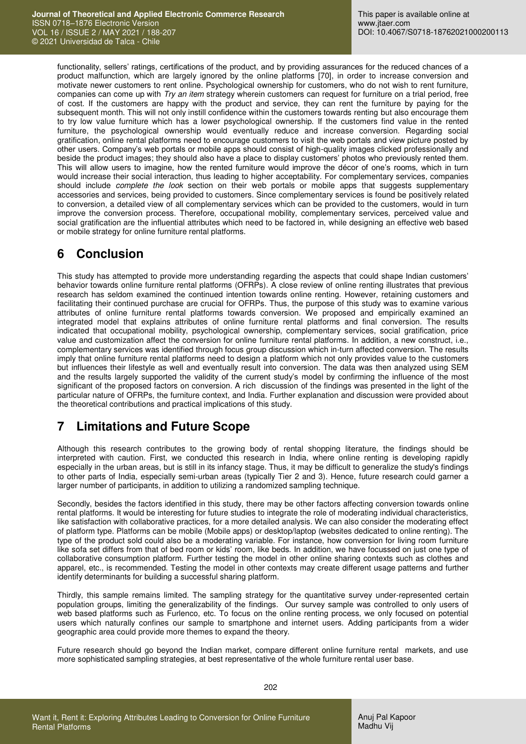functionality, sellers' ratings, certifications of the product, and by providing assurances for the reduced chances of a product malfunction, which are largely ignored by the online platforms [70], in order to increase conversion and motivate newer customers to rent online. Psychological ownership for customers, who do not wish to rent furniture, companies can come up with *Try an item* strategy wherein customers can request for furniture on a trial period, free of cost. If the customers are happy with the product and service, they can rent the furniture by paying for the subsequent month. This will not only instill confidence within the customers towards renting but also encourage them to try low value furniture which has a lower psychological ownership. If the customers find value in the rented furniture, the psychological ownership would eventually reduce and increase conversion. Regarding social gratification, online rental platforms need to encourage customers to visit the web portals and view picture posted by other users. Company's web portals or mobile apps should consist of high-quality images clicked professionally and beside the product images; they should also have a place to display customers' photos who previously rented them. This will allow users to imagine, how the rented furniture would improve the décor of one's rooms, which in turn would increase their social interaction, thus leading to higher acceptability. For complementary services, companies should include *complete the look* section on their web portals or mobile apps that suggests supplementary accessories and services, being provided to customers. Since complementary services is found be positively related to conversion, a detailed view of all complementary services which can be provided to the customers, would in turn improve the conversion process. Therefore, occupational mobility, complementary services, perceived value and social gratification are the influential attributes which need to be factored in, while designing an effective web based or mobile strategy for online furniture rental platforms.

## **6 Conclusion**

This study has attempted to provide more understanding regarding the aspects that could shape Indian customers' behavior towards online furniture rental platforms (OFRPs). A close review of online renting illustrates that previous research has seldom examined the continued intention towards online renting. However, retaining customers and facilitating their continued purchase are crucial for OFRPs. Thus, the purpose of this study was to examine various attributes of online furniture rental platforms towards conversion. We proposed and empirically examined an integrated model that explains attributes of online furniture rental platforms and final conversion. The results indicated that occupational mobility, psychological ownership, complementary services, social gratification, price value and customization affect the conversion for online furniture rental platforms. In addition, a new construct, i.e., complementary services was identified through focus group discussion which in-turn affected conversion. The results imply that online furniture rental platforms need to design a platform which not only provides value to the customers but influences their lifestyle as well and eventually result into conversion. The data was then analyzed using SEM and the results largely supported the validity of the current study's model by confirming the influence of the most significant of the proposed factors on conversion. A rich discussion of the findings was presented in the light of the particular nature of OFRPs, the furniture context, and India. Further explanation and discussion were provided about the theoretical contributions and practical implications of this study.

# **7 Limitations and Future Scope**

Although this research contributes to the growing body of rental shopping literature, the findings should be interpreted with caution. First, we conducted this research in India, where online renting is developing rapidly especially in the urban areas, but is still in its infancy stage. Thus, it may be difficult to generalize the study's findings to other parts of India, especially semi-urban areas (typically Tier 2 and 3). Hence, future research could garner a larger number of participants, in addition to utilizing a randomized sampling technique.

Secondly, besides the factors identified in this study, there may be other factors affecting conversion towards online rental platforms. It would be interesting for future studies to integrate the role of moderating individual characteristics, like satisfaction with collaborative practices, for a more detailed analysis. We can also consider the moderating effect of platform type. Platforms can be mobile (Mobile apps) or desktop/laptop (websites dedicated to online renting). The type of the product sold could also be a moderating variable. For instance, how conversion for living room furniture like sofa set differs from that of bed room or kids' room, like beds. In addition, we have focussed on just one type of collaborative consumption platform. Further testing the model in other online sharing contexts such as clothes and apparel, etc., is recommended. Testing the model in other contexts may create different usage patterns and further identify determinants for building a successful sharing platform.

Thirdly, this sample remains limited. The sampling strategy for the quantitative survey under-represented certain population groups, limiting the generalizability of the findings. Our survey sample was controlled to only users of web based platforms such as Furlenco, etc. To focus on the online renting process, we only focused on potential users which naturally confines our sample to smartphone and internet users. Adding participants from a wider geographic area could provide more themes to expand the theory.

Future research should go beyond the Indian market, compare different online furniture rental markets, and use more sophisticated sampling strategies, at best representative of the whole furniture rental user base.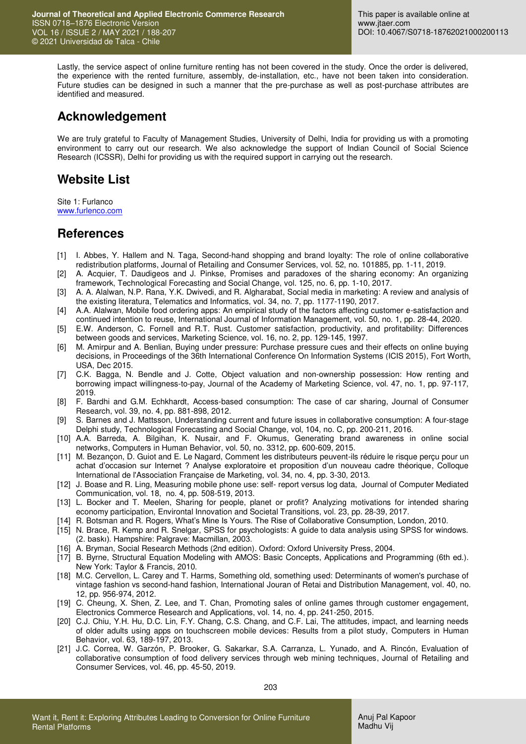Lastly, the service aspect of online furniture renting has not been covered in the study. Once the order is delivered, the experience with the rented furniture, assembly, de-installation, etc., have not been taken into consideration. Future studies can be designed in such a manner that the pre-purchase as well as post-purchase attributes are identified and measured.

### **Acknowledgement**

We are truly grateful to Faculty of Management Studies, University of Delhi, India for providing us with a promoting environment to carry out our research. We also acknowledge the support of Indian Council of Social Science Research (ICSSR), Delhi for providing us with the required support in carrying out the research.

## **Website List**

Site 1: Furlanco [www.furlenco.com](http://www.furlenco.com/)

### **References**

- [1] I. Abbes, Y. Hallem and N. Taga, Second-hand shopping and brand loyalty: The role of online collaborative redistribution platforms, Journal of Retailing and Consumer Services, vol. 52, no. 101885, pp. 1-11, 2019.
- [2] A. Acquier, T. Daudigeos and J. Pinkse, Promises and paradoxes of the sharing economy: An organizing framework, Technological Forecasting and Social Change, vol. 125, no. 6, pp. 1-10, 2017.
- [3] A. A. Alalwan, N.P. Rana, Y.K. Dwivedi, and R. Algharabat, Social media in marketing: A review and analysis of the existing literatura, Telematics and Informatics, vol. 34, no. 7, pp. 1177-1190, 2017.
- [4] A.A. Alalwan, Mobile food ordering apps: An empirical study of the factors affecting customer e-satisfaction and continued intention to reuse, International Journal of Information Management, vol. 50, no. 1, pp. 28-44, 2020.
- [5] E.W. Anderson, C. Fornell and R.T. Rust. Customer satisfaction, productivity, and profitability: Differences between goods and services, Marketing Science, vol. 16, no. 2, pp. 129-145, 1997.
- [6] M. Amirpur and A. Benlian, Buying under pressure: Purchase pressure cues and their effects on online buying decisions, in Proceedings of the 36th International Conference On Information Systems (ICIS 2015), Fort Worth, USA, Dec 2015.
- [7] C.K. Bagga, N. Bendle and J. Cotte, Object valuation and non-ownership possession: How renting and borrowing impact willingness-to-pay, Journal of the Academy of Marketing Science, vol. 47, no. 1, pp. 97-117, 2019.
- [8] F. Bardhi and G.M. Echkhardt, Access-based consumption: The case of car sharing, Journal of Consumer Research, vol. 39, no. 4, pp. 881-898, 2012.
- [9] S. Barnes and J. Mattsson, Understanding current and future issues in collaborative consumption: A four-stage Delphi study, Technological Forecasting and Social Change, vol, 104, no. C, pp. 200-211, 2016.
- [10] A.A. Barreda, A. Bilgihan, K. Nusair, and F. Okumus, Generating brand awareness in online social networks, Computers in Human Behavior, vol. 50, no. 3312, pp. 600-609, 2015.
- [11] M. Bezançon, D. Guiot and E. Le Nagard, Comment les distributeurs peuvent-ils réduire le risque perçu pour un achat d'occasion sur Internet ? Analyse exploratoire et proposition d'un nouveau cadre théorique, Colloque International de l'Association Française de Marketing, vol. 34, no. 4, pp. 3-30, 2013.
- [12] J. Boase and R. Ling, Measuring mobile phone use: self- report versus log data, Journal of Computer Mediated Communication, vol. 18, no. 4, pp. 508-519, 2013.
- [13] L. Bocker and T. Meelen, Sharing for people, planet or profit? Analyzing motivations for intended sharing economy participation, Environtal Innovation and Societal Transitions, vol. 23, pp. 28-39, 2017.
- [14] R. Botsman and R. Rogers, What's Mine Is Yours. The Rise of Collaborative Consumption, London, 2010.
- [15] N. Brace, R. Kemp and R. Snelgar, SPSS for psychologists: A guide to data analysis using SPSS for windows. (2. baskı). Hampshire: Palgrave: Macmillan, 2003.
- [16] A. Bryman, Social Research Methods (2nd edition). Oxford: Oxford University Press, 2004.
- [17] B. Byrne, Structural Equation Modeling with AMOS: Basic Concepts, Applications and Programming (6th ed.). New York: Taylor & Francis, 2010.
- [18] M.C. Cervellon, L. Carey and T. Harms, Something old, something used: Determinants of women's purchase of vintage fashion vs second-hand fashion, International Jouran of Retai and Distribution Management, vol. 40, no. 12, pp. 956-974, 2012.
- [19] C. Cheung, X. Shen, Z. Lee, and T. Chan, Promoting sales of online games through customer engagement, Electronics Commerce Research and Applications, vol. 14, no. 4, pp. 241-250, 2015.
- [20] C.J. Chiu, Y.H. Hu, D.C. Lin, F.Y. Chang, C.S. Chang, and C.F. Lai, The attitudes, impact, and learning needs of older adults using apps on touchscreen mobile devices: Results from a pilot study, Computers in Human Behavior, vol. 63, 189-197, 2013.
- [21] J.C. Correa, W. Garzón, P. Brooker, G. Sakarkar, S.A. Carranza, L. Yunado, and A. Rincón, Evaluation of collaborative consumption of food delivery services through web mining techniques, Journal of Retailing and Consumer Services, vol. 46, pp. 45-50, 2019.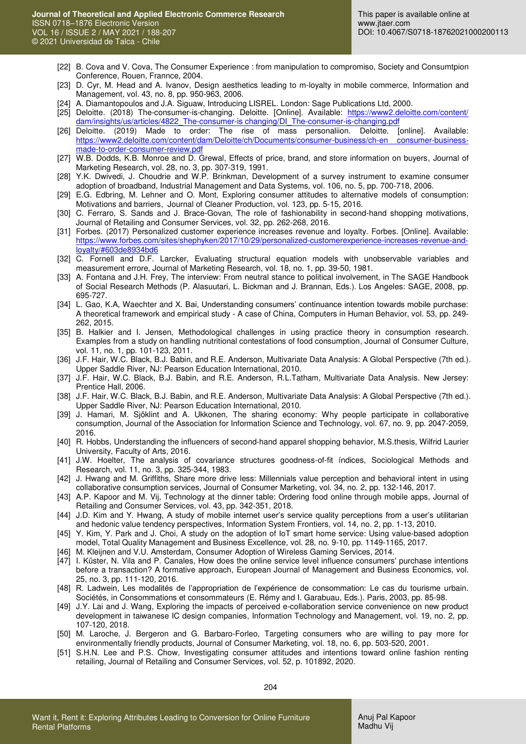- [22] B. Cova and V. Cova, The Consumer Experience : from manipulation to compromiso, Society and Consumtpion Conference, Rouen, Frannce, 2004.
- [23] D. Cyr, M. Head and A. Ivanov, Design aesthetics leading to m-loyalty in mobile commerce, Information and Management, vol. 43, no. 8, pp. 950-963, 2006.
- [24] A. Diamantopoulos and J.A. Siguaw, Introducing LISREL. London: Sage Publications Ltd, 2000.
- [25] Deloitte. (2018) The-consumer-is-changing. Deloitte. [Online]. Available: [https://www2.deloitte.com/content/](https://www2.deloitte.com/content/%20dam/insights/us/articles/4822_The-consumer-is%20changing/DI_The-consumer-is-changing.pdf)  dam/insights/us/articles/4822\_The-consumer-is changing/DI\_The-consumer-is-changing.pdf
- [26] Deloitte. (2019) Made to order: The rise of mass personaliion. Deloitte. [online]. Available: [https://www2.deloitte.com/content/dam/Deloitte/ch/Documents/consumer-business/ch-en consumer-business](https://www2.deloitte.com/content/dam/Deloitte/ch/Documents/consumer-business/ch-en%20consumer-business-made-to-order-consumer-review.pdf)[made-to-order-consumer-review.pdf](https://www2.deloitte.com/content/dam/Deloitte/ch/Documents/consumer-business/ch-en%20consumer-business-made-to-order-consumer-review.pdf)
- [27] W.B. Dodds, K.B. Monroe and D. Grewal, Effects of price, brand, and store information on buyers, Journal of Marketing Research, vol. 28, no. 3, pp. 307-319, 1991.
- [28] Y.K. Dwivedi, J. Choudrie and W.P. Brinkman, Development of a survey instrument to examine consumer adoption of broadband, Industrial Management and Data Systems, vol. 106, no. 5, pp. 700-718, 2006.
- [29] E.G. Edbring, M. Lehner and O. Mont, Exploring consumer attitudes to alternative models of consumption: Motivations and barriers, Journal of Cleaner Production, vol. 123, pp. 5-15, 2016.
- [30] C. Ferraro, S. Sands and J. Brace-Govan, The role of fashionability in second-hand shopping motivations, Journal of Retailing and Consumer Services, vol. 32, pp. 262-268, 2016.
- [31] Forbes. (2017) Personalized customer experience increases revenue and loyalty. Forbes. [Online]. Available: [https://www.forbes.com/sites/shephyken/2017/10/29/personalized-customerexperience-increases-revenue-and](https://www.forbes.com/sites/shephyken/2017/10/29/personalized-customerexperience-increases-revenue-and-loyalty/#603de8934bd6)[loyalty/#603de8934bd6](https://www.forbes.com/sites/shephyken/2017/10/29/personalized-customerexperience-increases-revenue-and-loyalty/#603de8934bd6)
- [32] C. Fornell and D.F. Larcker, Evaluating structural equation models with unobservable variables and measurement errore, Journal of Marketing Research, vol. 18, no. 1, pp. 39-50, 1981.
- [33] A. Fontana and J.H. Frey, The interview: From neutral stance to political involvement, in The SAGE Handbook of Social Research Methods (P. Alasuutari, L. Bickman and J. Brannan, Eds.). Los Angeles: SAGE, 2008, pp. 695-727.
- [34] L. Gao, K.A, Waechter and X. Bai, Understanding consumers' continuance intention towards mobile purchase: A theoretical framework and empirical study - A case of China, Computers in Human Behavior, vol. 53, pp. 249- 262, 2015.
- [35] B. Halkier and I. Jensen, Methodological challenges in using practice theory in consumption research. Examples from a study on handling nutritional contestations of food consumption, Journal of Consumer Culture, vol. 11, no. 1, pp. 101-123, 2011.
- [36] J.F. Hair, W.C. Black, B.J. Babin, and R.E. Anderson, Multivariate Data Analysis: A Global Perspective (7th ed.). Upper Saddle River, NJ: Pearson Education International, 2010.
- [37] J.F. Hair, W.C. Black, B.J. Babin, and R.E. Anderson, R.L.Tatham, Multivariate Data Analysis. New Jersey: Prentice Hall, 2006.
- [38] J.F. Hair, W.C. Black, B.J. Babin, and R.E. Anderson, Multivariate Data Analysis: A Global Perspective (7th ed.). Upper Saddle River, NJ: Pearson Education International, 2010.
- [39] J. Hamari, M. Sjöklint and A. Ukkonen, The sharing economy: Why people participate in collaborative consumption, Journal of the Association for Information Science and Technology, vol. 67, no. 9, pp. 2047-2059, 2016.
- [40] R. Hobbs, Understanding the influencers of second-hand apparel shopping behavior, M.S.thesis, Wilfrid Laurier University, Faculty of Arts, 2016.
- [41] J.W. Hoelter, The analysis of covariance structures goodness-of-fit índices, Sociological Methods and Research, vol. 11, no. 3, pp. 325-344, 1983.
- [42] J. Hwang and M. Griffiths, Share more drive less: Millennials value perception and behavioral intent in using collaborative consumption services, Journal of Consumer Marketing, vol. 34, no. 2, pp. 132-146, 2017.
- [43] A.P. Kapoor and M. Vij, Technology at the dinner table: Ordering food online through mobile apps, Journal of Retailing and Consumer Services, vol. 43, pp. 342-351, 2018.
- [44] J.D. Kim and Y. Hwang, A study of mobile internet user's service quality perceptions from a user's utilitarian and hedonic value tendency perspectives, Information System Frontiers, vol. 14, no. 2, pp. 1-13, 2010.
- [45] Y. Kim, Y. Park and J. Choi, A study on the adoption of IoT smart home service: Using value-based adoption model, Total Quality Management and Business Excellence, vol. 28, no. 9-10, pp. 1149-1165, 2017.
- [46] M. Kleijnen and V.U. Amsterdam, Consumer Adoption of Wireless Gaming Services, 2014.
- [47] I. Küster, N. Vila and P. Canales, How does the online service level influence consumers' purchase intentions before a transaction? A formative approach, European Journal of Management and Business Economics, vol. 25, no. 3, pp. 111-120, 2016.
- [48] R. Ladwein, Les modalités de l'appropriation de l'expérience de consommation: Le cas du tourisme urbain. Sociétés, in Consommations et consommateurs (E. Rémy and I. Garabuau, Eds.). Paris, 2003, pp. 85-98.
- [49] J.Y. Lai and J. Wang, Exploring the impacts of perceived e-collaboration service convenience on new product development in taiwanese IC design companies, Information Technology and Management, vol. 19, no. 2, pp. 107-120, 2018.
- [50] M. Laroche, J. Bergeron and G. Barbaro-Forleo, Targeting consumers who are willing to pay more for environmentally friendly products, Journal of Consumer Marketing, vol. 18, no. 6, pp. 503-520, 2001.
- [51] S.H.N. Lee and P.S. Chow, Investigating consumer attitudes and intentions toward online fashion renting retailing, Journal of Retailing and Consumer Services, vol. 52, p. 101892, 2020.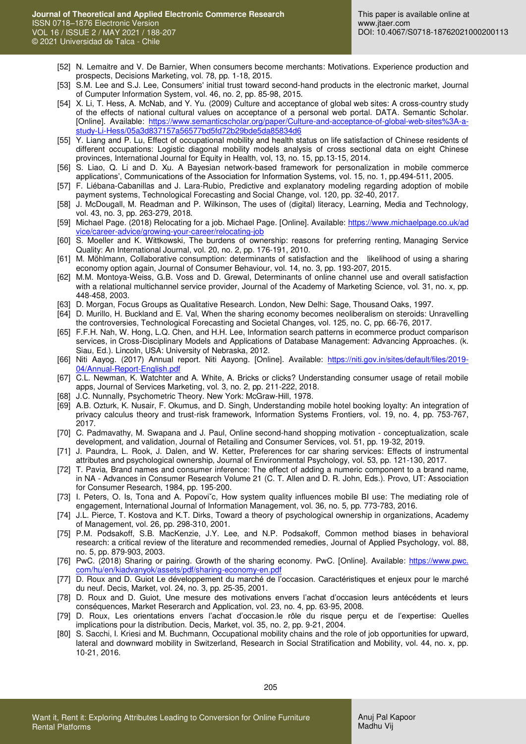- [52] N. Lemaitre and V. De Barnier, When consumers become merchants: Motivations. Experience production and prospects, Decisions Marketing, vol. 78, pp. 1-18, 2015.
- [53] S.M. Lee and S.J. Lee, Consumers' initial trust toward second-hand products in the electronic market, Journal of Cumputer Information System, vol. 46, no. 2, pp. 85-98, 2015.
- [54] X. Li, T. Hess, A. McNab, and Y. Yu. (2009) Culture and acceptance of global web sites: A cross-country study of the effects of national cultural values on acceptance of a personal web portal. DATA. Semantic Scholar. [Online]. Available: [https://www.semanticscholar.org/paper/Culture-and-acceptance-of-global-web-sites%3A-a](https://www.semanticscholar.org/paper/Culture-and-acceptance-of-global-web-sites%3A-a-study-Li-Hess/05a3d837157a56577bd5fd72b29bde5da85834d6)[study-Li-Hess/05a3d837157a56577bd5fd72b29bde5da85834d6](https://www.semanticscholar.org/paper/Culture-and-acceptance-of-global-web-sites%3A-a-study-Li-Hess/05a3d837157a56577bd5fd72b29bde5da85834d6)
- [55] Y. Liang and P. Lu, Effect of occupational mobility and health status on life satisfaction of Chinese residents of different occupations: Logistic diagonal mobility models analysis of cross sectional data on eight Chinese provinces, International Journal for Equity in Health, vol, 13, no. 15, pp.13-15, 2014.
- [56] S. Liao, Q. Li and D. Xu. A Bayesian network-based framework for personalization in mobile commerce applications', Communications of the Association for Information Systems, vol. 15, no. 1, pp.494-511, 2005.
- [57] F. Liébana-Cabanillas and J. Lara-Rubio, Predictive and explanatory modeling regarding adoption of mobile payment systems, Technological Forecasting and Social Change, vol. 120, pp. 32-40, 2017.
- [58] J. McDougall, M. Readman and P. Wilkinson, The uses of (digital) literacy, Learning, Media and Technology, vol. 43, no. 3, pp. 263-279, 2018.
- [59] Michael Page. (2018) Relocating for a job. Michael Page. [Online]. Available: [https://www.michaelpage.co.uk/ad](https://www.michaelpage.co.uk/ad%20vice/career-advice/growing-your-career/relocating-job)  [vice/career-advice/growing-your-career/relocating-job](https://www.michaelpage.co.uk/ad%20vice/career-advice/growing-your-career/relocating-job)
- [60] S. [Moeller](https://www.emerald.com/insight/search?q=Sabine%20Moeller) and K. Wittkowski, The burdens of ownership: reasons for preferring renting[, Managing Service](https://www.emerald.com/insight/publication/issn/0960-4529)  [Quality: An International Journal,](https://www.emerald.com/insight/publication/issn/0960-4529) vol. 20, no. 2, pp. 176-191, 2010.
- [61] M. Möhlmann, Collaborative consumption: determinants of satisfaction and the likelihood of using a sharing economy option again, Journal of Consumer Behaviour, vol. 14, no. 3, pp. 193-207, 2015.
- [62] M.M. Montoya-Weiss, G.B. Voss and D. Grewal, Determinants of online channel use and overall satisfaction with a relational multichannel service provider, Journal of the Academy of Marketing Science, vol. 31, no. x, pp. 448-458, 2003.
- [63] D. Morgan, Focus Groups as Qualitative Research. London, New Delhi: Sage, Thousand Oaks, 1997.
- [64] D. Murillo, H. Buckland and E. Val, When the sharing economy becomes neoliberalism on steroids: Unravelling the controversies, Technological Forecasting and Societal Changes, vol. 125, no. C, pp. 66-76, 2017.
- [65] F.F.H. Nah, W. Hong, L.Q. Chen, and H.H. Lee, Information search patterns in ecommerce product comparison services, in [Cross-Disciplinary Models and Applications of Database Management: Advancing Approaches.](https://www.igi-global.com/book/cross-disciplinary-models-applications-database/55277) (k. Siau, Ed.). Lincoln, USA: University of Nebraska, 2012.
- [66] Niti Aayog. (2017) Annual report. Niti Aayong. [Online]. Available: [https://niti.gov.in/sites/default/files/2019-](https://niti.gov.in/sites/default/files/2019-04/Annual-Report-English.pdf) [04/Annual-Report-English.pdf](https://niti.gov.in/sites/default/files/2019-04/Annual-Report-English.pdf)
- [67] C.L. Newman, K. Watchter and A. White, A. Bricks or clicks? Understanding consumer usage of retail mobile apps, Journal of Services Marketing, vol. 3, no. 2, pp. 211-222, 2018.
- [68] J.C. Nunnally, Psychometric Theory. New York: McGraw-Hill, 1978.
- [69] A.B. Ozturk, K. Nusair, F. Okumus, and D. Singh, Understanding mobile hotel booking loyalty: An integration of privacy calculus theory and trust-risk framework, Information Systems Frontiers, vol. 19, no. 4, pp. 753-767, 2017.
- [70] C. Padmavathy, M. Swapana and J. Paul, Online second-hand shopping motivation conceptualization, scale development, and validation, Journal of Retailing and Consumer Services, vol. 51, pp. 19-32, 2019.
- [71] J. Paundra, L. Rook, J. Dalen, and W. Ketter, Preferences for car sharing services: Effects of instrumental attributes and psychological ownership, Journal of Environmental Psychology, vol. 53, pp. 121-130, 2017.
- [72] T. Pavia, Brand names and consumer inference: The effect of adding a numeric component to a brand name, in NA - Advances in Consumer Research Volume 21 (C. T. Allen and D. R. John, Eds.). Provo, UT: Association for Consumer Research, 1984, pp. 195-200.
- [73] I. Peters, O. Is, Tona and A. Popovič, How system quality influences mobile BI use: The mediating role of engagement, International Journal of Information Management, vol. 36, no. 5, pp. 773-783, 2016.
- [74] J.L. Pierce, T. Kostova and K.T. Dirks, Toward a theory of psychological ownership in organizations, Academy of Management, vol. 26, pp. 298-310, 2001.
- [75] P.M. Podsakoff, S.B. MacKenzie, J.Y. Lee, and N.P. Podsakoff, Common method biases in behavioral research: a critical review of the literature and recommended remedies, Journal of Applied Psychology, vol. 88, no. 5, pp. 879-903, 2003.
- [76] PwC. (2018) Sharing or pairing. Growth of the sharing economy. PwC. [Online]. Available: https://www.pwc. com/hu/en/kiadvanyok/assets/pdf/sharing-economy-en.pdf
- [77] D. Roux and D. Guiot Le développement du marché de l'occasion. Caractéristiques et enjeux pour le marché du neuf. Decis, Market, vol. 24, no. 3, pp. 25-35, 2001.
- [78] D. Roux and D. Guiot, Une mesure des motivations envers l'achat d'occasion leurs antécédents et leurs conséquences, Market Reserarch and Application, vol. 23, no. 4, pp. 63-95, 2008.
- [79] D. Roux, Les orientations envers l'achat d'occasion.le rôle du risque perçu et de l'expertise: Quelles implications pour la distribution. Decis, Market, vol. 35, no. 2, pp. 9-21, 2004.
- [80] S. Sacchi, I. Kriesi and M. Buchmann, Occupational mobility chains and the role of job opportunities for upward, lateral and downward mobility in Switzerland, Research in Social Stratification and Mobility, vol. 44, no. x, pp. 10-21, 2016.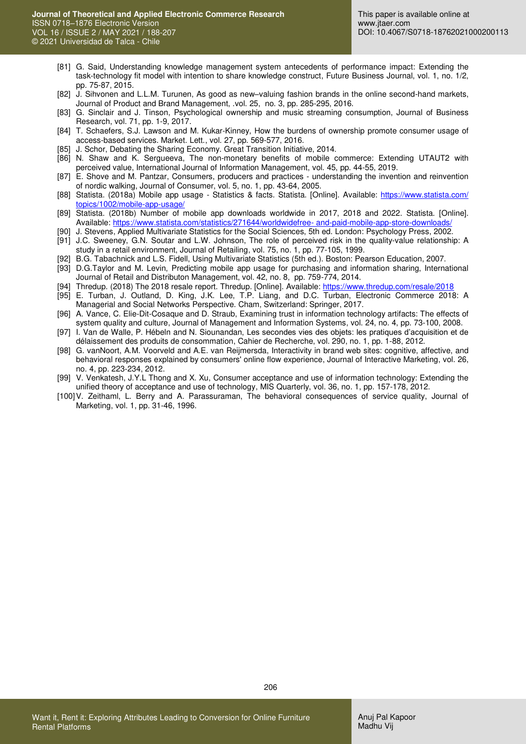- [81] G. Said, Understanding knowledge management system antecedents of performance impact: Extending the task-technology fit model with intention to share knowledge construct, Future Business Journal, vol. 1, no. 1/2, pp. 75-87, 2015.
- [82] J. Sihvonen and L.L.M. Turunen, As good as new–valuing fashion brands in the online second-hand markets, Journal of Product and Brand Management, .vol. 25, no. 3, pp. 285-295, 2016.
- [83] G. Sinclair and J. Tinson, Psychological ownership and music streaming consumption, Journal of Business Research, vol. 71, pp. 1-9, 2017.
- [84] T. Schaefers, S.J. Lawson and M. Kukar-Kinney, How the burdens of ownership promote consumer usage of access-based services. Market. Lett., vol. 27, pp. 569-577, 2016.
- [85] J. Schor, Debating the Sharing Economy. Great Transition Initiative, 2014.
- [86] N. Shaw and K. Sergueeva, The non-monetary benefits of mobile commerce: Extending UTAUT2 with perceived value, International Journal of Information Management, vol. 45, pp. 44-55, 2019.
- [87] E. Shove and M. Pantzar, Consumers, producers and practices understanding the invention and reinvention of nordic walking, Journal of Consumer, vol. 5, no. 1, pp. 43-64, 2005.
- [88] Statista. (2018a) Mobile app usage Statistics & facts. Statista. [Online]. Available: https://www.statista.com/ [topics/1002/mobile-app-usage/](https://www.statista.com/%20topics/1002/mobile-app-usage/)
- [89] Statista. (2018b) Number of mobile app downloads worldwide in 2017, 2018 and 2022. Statista. [Online]. Available[: https://www.statista.com/statistics/271644/worldwidefree- and-paid-mobile-app-store-downloads/](https://www.statista.com/statistics/271644/worldwidefree-%20and-paid-mobile-app-store-downloads/)
- [90] J. Stevens, Applied Multivariate Statistics for the Social Sciences, 5th ed. London: Psychology Press, 2002.
- [91] J.C. Sweeney, G.N. Soutar and L.W. Johnson, The role of perceived risk in the quality-value relationship: A study in a retail environment, Journal of Retailing, vol. 75, no. 1, pp. 77-105, 1999.
- [92] B.G. Tabachnick and L.S. Fidell, Using Multivariate Statistics (5th ed.). Boston: Pearson Education, 2007.
- [93] D.G.Taylor and M. Levin, Predicting mobile app usage for purchasing and information sharing, International Journal of Retail and Distributon Management, vol. 42, no. 8, pp. 759-774, 2014.
- [94] Thredup. (2018) The 2018 resale report. Thredup. [Online]. Available: https://www.thredup.com/resale/2018
- [95] E. Turban, J. Outland, D. King, J.K. Lee, T.P. Liang, and D.C. Turban, Electronic Commerce 2018: A Managerial and Social Networks Perspective. Cham, Switzerland: Springer, 2017.
- [96] A. Vance, C. Elie-Dit-Cosaque and D. Straub, Examining trust in information technology artifacts: The effects of system quality and culture, Journal of Management and Information Systems, vol. 24, no. 4, pp. 73-100, 2008.
- [97] I. Van de Walle, P. Hébeln and N. Siounandan, Les secondes vies des objets: les pratiques d'acquisition et de délaissement des produits de consommation, Cahier de Recherche, vol. 290, no. 1, pp. 1-88, 2012.
- [98] G. vanNoort, A.M. Voorveld and A.E. van Reijmersda, Interactivity in brand web sites: cognitive, affective, and behavioral responses explained by consumers' online flow experience, Journal of Interactive Marketing, vol. 26, no. 4, pp. 223-234, 2012.
- [99] V. Venkatesh, J.Y.L Thong and X. Xu, Consumer acceptance and use of information technology: Extending the unified theory of acceptance and use of technology, MIS Quarterly, vol. 36, no. 1, pp. 157-178, 2012.
- [100] V. Zeithaml, L. Berry and A. Parassuraman, The behavioral consequences of service quality, Journal of Marketing, vol. 1, pp. 31-46, 1996.